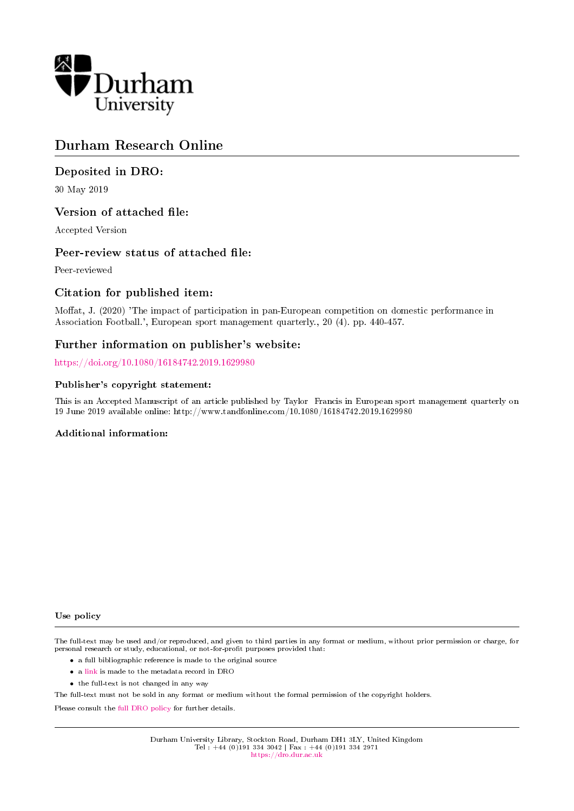

## Durham Research Online

## Deposited in DRO:

30 May 2019

#### Version of attached file:

Accepted Version

#### Peer-review status of attached file:

Peer-reviewed

#### Citation for published item:

Moffat, J. (2020) 'The impact of participation in pan-European competition on domestic performance in Association Football.', European sport management quarterly., 20 (4). pp. 440-457.

#### Further information on publisher's website:

<https://doi.org/10.1080/16184742.2019.1629980>

#### Publisher's copyright statement:

This is an Accepted Manuscript of an article published by Taylor Francis in European sport management quarterly on 19 June 2019 available online: http://www.tandfonline.com/10.1080/16184742.2019.1629980

#### Additional information:

#### Use policy

The full-text may be used and/or reproduced, and given to third parties in any format or medium, without prior permission or charge, for personal research or study, educational, or not-for-profit purposes provided that:

- a full bibliographic reference is made to the original source
- a [link](http://dro.dur.ac.uk/28290/) is made to the metadata record in DRO
- the full-text is not changed in any way

The full-text must not be sold in any format or medium without the formal permission of the copyright holders.

Please consult the [full DRO policy](https://dro.dur.ac.uk/policies/usepolicy.pdf) for further details.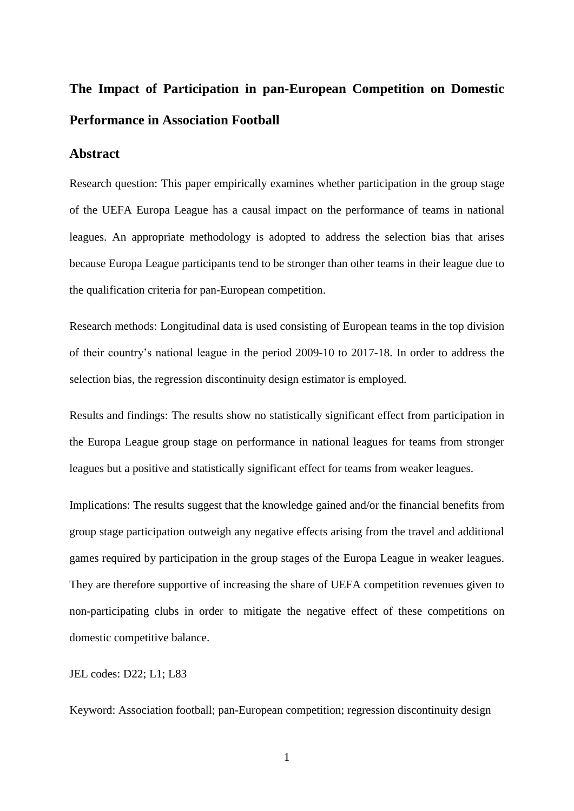## **The Impact of Participation in pan-European Competition on Domestic Performance in Association Football**

### **Abstract**

Research question: This paper empirically examines whether participation in the group stage of the UEFA Europa League has a causal impact on the performance of teams in national leagues. An appropriate methodology is adopted to address the selection bias that arises because Europa League participants tend to be stronger than other teams in their league due to the qualification criteria for pan-European competition.

Research methods: Longitudinal data is used consisting of European teams in the top division of their country's national league in the period 2009-10 to 2017-18. In order to address the selection bias, the regression discontinuity design estimator is employed.

Results and findings: The results show no statistically significant effect from participation in the Europa League group stage on performance in national leagues for teams from stronger leagues but a positive and statistically significant effect for teams from weaker leagues.

Implications: The results suggest that the knowledge gained and/or the financial benefits from group stage participation outweigh any negative effects arising from the travel and additional games required by participation in the group stages of the Europa League in weaker leagues. They are therefore supportive of increasing the share of UEFA competition revenues given to non-participating clubs in order to mitigate the negative effect of these competitions on domestic competitive balance.

JEL codes: D22; L1; L83

Keyword: Association football; pan-European competition; regression discontinuity design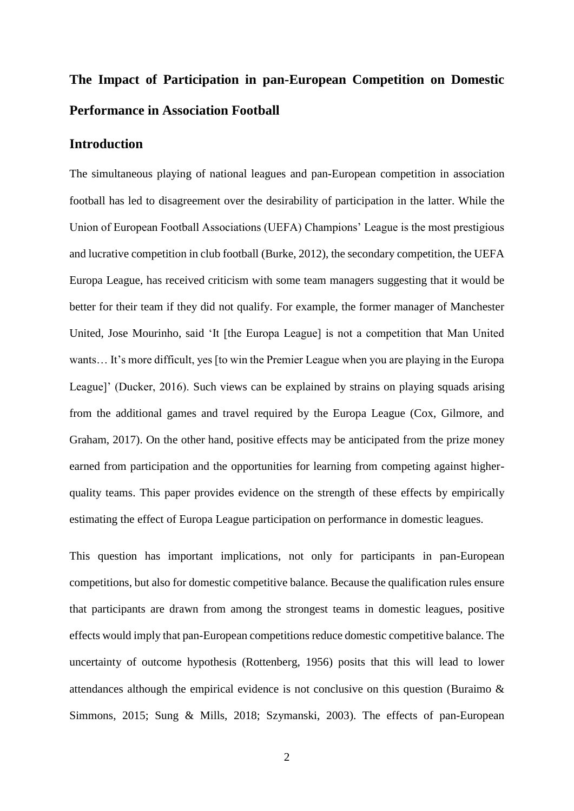# **The Impact of Participation in pan-European Competition on Domestic Performance in Association Football**

## **Introduction**

The simultaneous playing of national leagues and pan-European competition in association football has led to disagreement over the desirability of participation in the latter. While the Union of European Football Associations (UEFA) Champions' League is the most prestigious and lucrative competition in club football (Burke, 2012), the secondary competition, the UEFA Europa League, has received criticism with some team managers suggesting that it would be better for their team if they did not qualify. For example, the former manager of Manchester United, Jose Mourinho, said 'It [the Europa League] is not a competition that Man United wants… It's more difficult, yes [to win the Premier League when you are playing in the Europa League]' (Ducker, 2016). Such views can be explained by strains on playing squads arising from the additional games and travel required by the Europa League (Cox, Gilmore, and Graham, 2017). On the other hand, positive effects may be anticipated from the prize money earned from participation and the opportunities for learning from competing against higherquality teams. This paper provides evidence on the strength of these effects by empirically estimating the effect of Europa League participation on performance in domestic leagues.

This question has important implications, not only for participants in pan-European competitions, but also for domestic competitive balance. Because the qualification rules ensure that participants are drawn from among the strongest teams in domestic leagues, positive effects would imply that pan-European competitions reduce domestic competitive balance. The uncertainty of outcome hypothesis (Rottenberg, 1956) posits that this will lead to lower attendances although the empirical evidence is not conclusive on this question (Buraimo & Simmons, 2015; Sung & Mills, 2018; Szymanski, 2003). The effects of pan-European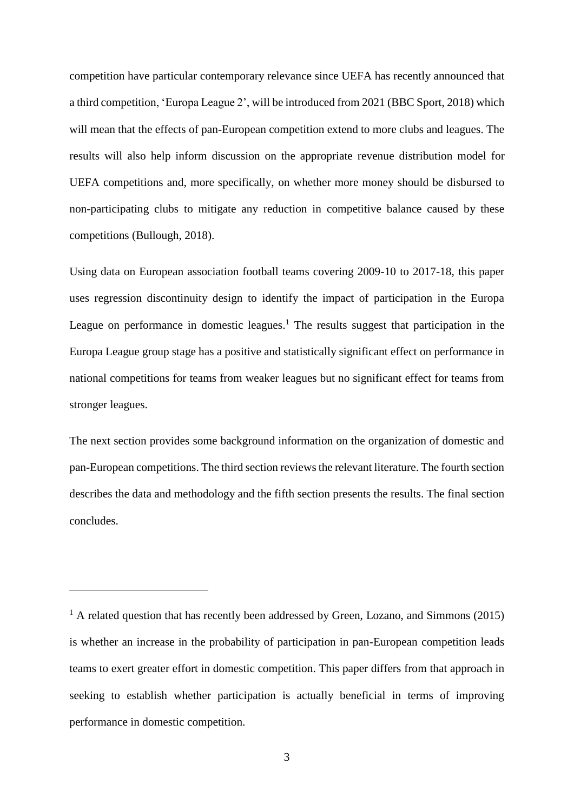competition have particular contemporary relevance since UEFA has recently announced that a third competition, 'Europa League 2', will be introduced from 2021 (BBC Sport, 2018) which will mean that the effects of pan-European competition extend to more clubs and leagues. The results will also help inform discussion on the appropriate revenue distribution model for UEFA competitions and, more specifically, on whether more money should be disbursed to non-participating clubs to mitigate any reduction in competitive balance caused by these competitions (Bullough, 2018).

Using data on European association football teams covering 2009-10 to 2017-18, this paper uses regression discontinuity design to identify the impact of participation in the Europa League on performance in domestic leagues.<sup>1</sup> The results suggest that participation in the Europa League group stage has a positive and statistically significant effect on performance in national competitions for teams from weaker leagues but no significant effect for teams from stronger leagues.

The next section provides some background information on the organization of domestic and pan-European competitions. The third section reviews the relevant literature. The fourth section describes the data and methodology and the fifth section presents the results. The final section concludes.

1

 $<sup>1</sup>$  A related question that has recently been addressed by Green, Lozano, and Simmons (2015)</sup> is whether an increase in the probability of participation in pan-European competition leads teams to exert greater effort in domestic competition. This paper differs from that approach in seeking to establish whether participation is actually beneficial in terms of improving performance in domestic competition.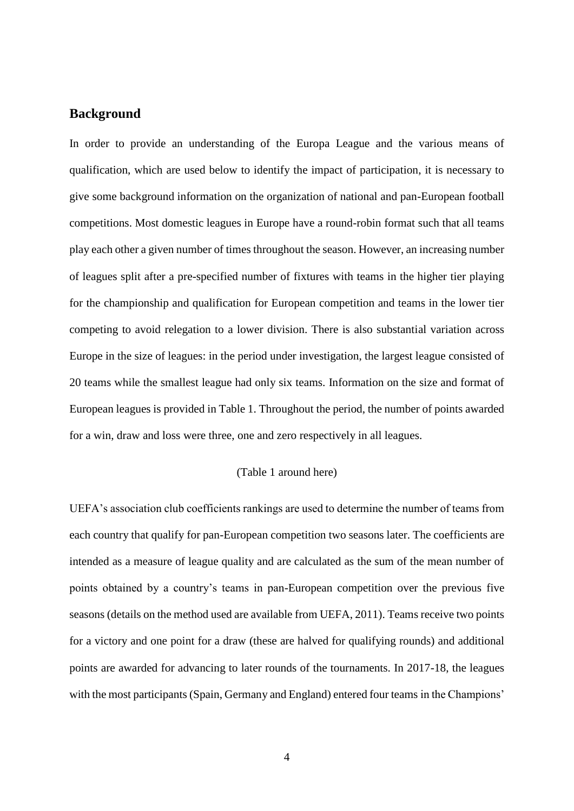## **Background**

In order to provide an understanding of the Europa League and the various means of qualification, which are used below to identify the impact of participation, it is necessary to give some background information on the organization of national and pan-European football competitions. Most domestic leagues in Europe have a round-robin format such that all teams play each other a given number of times throughout the season. However, an increasing number of leagues split after a pre-specified number of fixtures with teams in the higher tier playing for the championship and qualification for European competition and teams in the lower tier competing to avoid relegation to a lower division. There is also substantial variation across Europe in the size of leagues: in the period under investigation, the largest league consisted of 20 teams while the smallest league had only six teams. Information on the size and format of European leagues is provided in Table 1. Throughout the period, the number of points awarded for a win, draw and loss were three, one and zero respectively in all leagues.

#### (Table 1 around here)

UEFA's association club coefficients rankings are used to determine the number of teams from each country that qualify for pan-European competition two seasons later. The coefficients are intended as a measure of league quality and are calculated as the sum of the mean number of points obtained by a country's teams in pan-European competition over the previous five seasons (details on the method used are available from UEFA, 2011). Teams receive two points for a victory and one point for a draw (these are halved for qualifying rounds) and additional points are awarded for advancing to later rounds of the tournaments. In 2017-18, the leagues with the most participants (Spain, Germany and England) entered four teams in the Champions'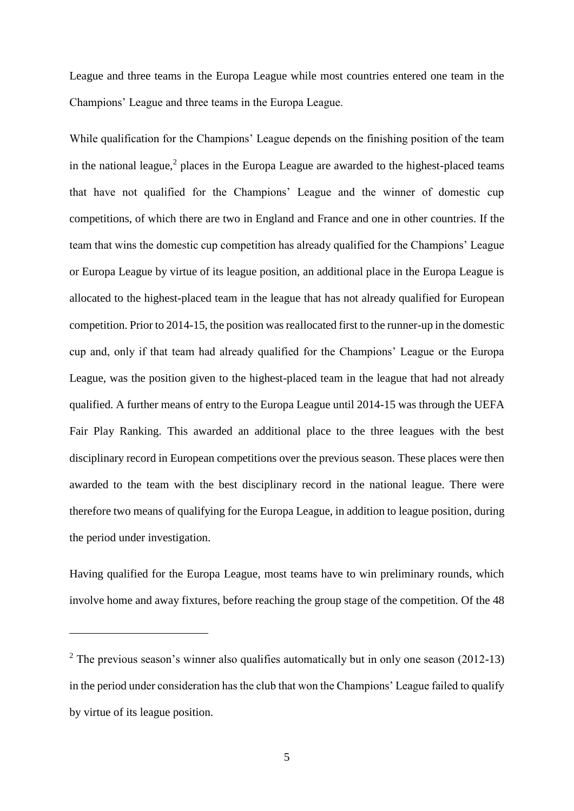League and three teams in the Europa League while most countries entered one team in the Champions' League and three teams in the Europa League.

While qualification for the Champions' League depends on the finishing position of the team in the national league, $<sup>2</sup>$  places in the Europa League are awarded to the highest-placed teams</sup> that have not qualified for the Champions' League and the winner of domestic cup competitions, of which there are two in England and France and one in other countries. If the team that wins the domestic cup competition has already qualified for the Champions' League or Europa League by virtue of its league position, an additional place in the Europa League is allocated to the highest-placed team in the league that has not already qualified for European competition. Prior to 2014-15, the position was reallocated first to the runner-up in the domestic cup and, only if that team had already qualified for the Champions' League or the Europa League, was the position given to the highest-placed team in the league that had not already qualified. A further means of entry to the Europa League until 2014-15 was through the UEFA Fair Play Ranking. This awarded an additional place to the three leagues with the best disciplinary record in European competitions over the previous season. These places were then awarded to the team with the best disciplinary record in the national league. There were therefore two means of qualifying for the Europa League, in addition to league position, during the period under investigation.

Having qualified for the Europa League, most teams have to win preliminary rounds, which involve home and away fixtures, before reaching the group stage of the competition. Of the 48

1

 $2$  The previous season's winner also qualifies automatically but in only one season (2012-13) in the period under consideration has the club that won the Champions' League failed to qualify by virtue of its league position.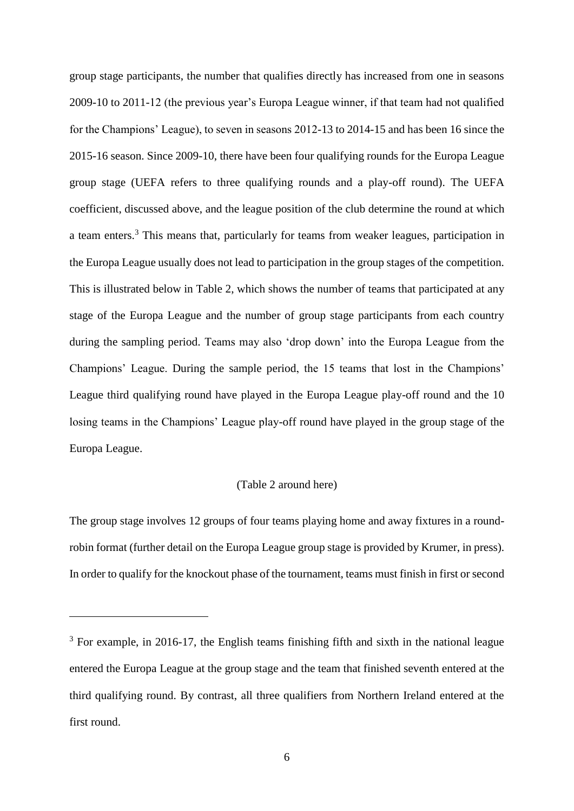group stage participants, the number that qualifies directly has increased from one in seasons 2009-10 to 2011-12 (the previous year's Europa League winner, if that team had not qualified for the Champions' League), to seven in seasons 2012-13 to 2014-15 and has been 16 since the 2015-16 season. Since 2009-10, there have been four qualifying rounds for the Europa League group stage (UEFA refers to three qualifying rounds and a play-off round). The UEFA coefficient, discussed above, and the league position of the club determine the round at which a team enters.<sup>3</sup> This means that, particularly for teams from weaker leagues, participation in the Europa League usually does not lead to participation in the group stages of the competition. This is illustrated below in Table 2, which shows the number of teams that participated at any stage of the Europa League and the number of group stage participants from each country during the sampling period. Teams may also 'drop down' into the Europa League from the Champions' League. During the sample period, the 15 teams that lost in the Champions' League third qualifying round have played in the Europa League play-off round and the 10 losing teams in the Champions' League play-off round have played in the group stage of the Europa League.

#### (Table 2 around here)

The group stage involves 12 groups of four teams playing home and away fixtures in a roundrobin format (further detail on the Europa League group stage is provided by Krumer, in press). In order to qualify for the knockout phase of the tournament, teams must finish in first or second

1

 $3$  For example, in 2016-17, the English teams finishing fifth and sixth in the national league entered the Europa League at the group stage and the team that finished seventh entered at the third qualifying round. By contrast, all three qualifiers from Northern Ireland entered at the first round.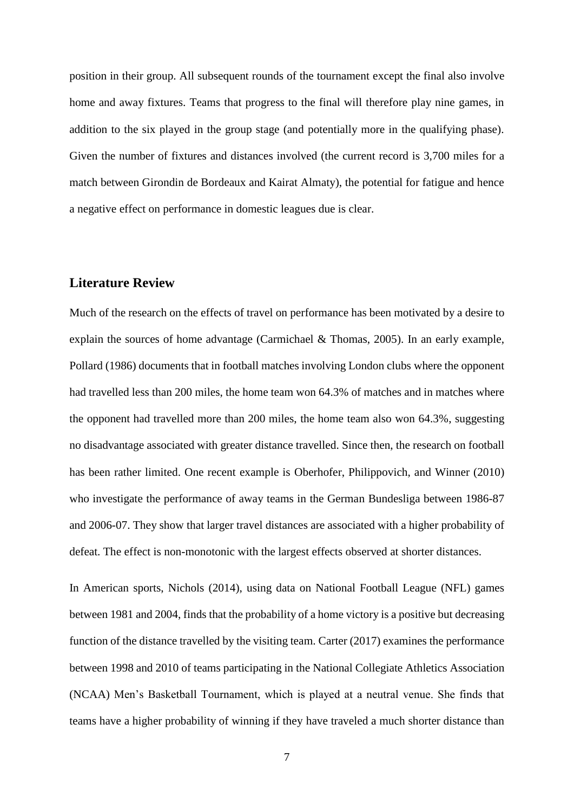position in their group. All subsequent rounds of the tournament except the final also involve home and away fixtures. Teams that progress to the final will therefore play nine games, in addition to the six played in the group stage (and potentially more in the qualifying phase). Given the number of fixtures and distances involved (the current record is 3,700 miles for a match between Girondin de Bordeaux and Kairat Almaty), the potential for fatigue and hence a negative effect on performance in domestic leagues due is clear.

## **Literature Review**

Much of the research on the effects of travel on performance has been motivated by a desire to explain the sources of home advantage (Carmichael & Thomas, 2005). In an early example, Pollard (1986) documents that in football matches involving London clubs where the opponent had travelled less than 200 miles, the home team won 64.3% of matches and in matches where the opponent had travelled more than 200 miles, the home team also won 64.3%, suggesting no disadvantage associated with greater distance travelled. Since then, the research on football has been rather limited. One recent example is Oberhofer, Philippovich, and Winner (2010) who investigate the performance of away teams in the German Bundesliga between 1986-87 and 2006-07. They show that larger travel distances are associated with a higher probability of defeat. The effect is non-monotonic with the largest effects observed at shorter distances.

In American sports, Nichols (2014), using data on National Football League (NFL) games between 1981 and 2004, finds that the probability of a home victory is a positive but decreasing function of the distance travelled by the visiting team. Carter (2017) examines the performance between 1998 and 2010 of teams participating in the National Collegiate Athletics Association (NCAA) Men's Basketball Tournament, which is played at a neutral venue. She finds that teams have a higher probability of winning if they have traveled a much shorter distance than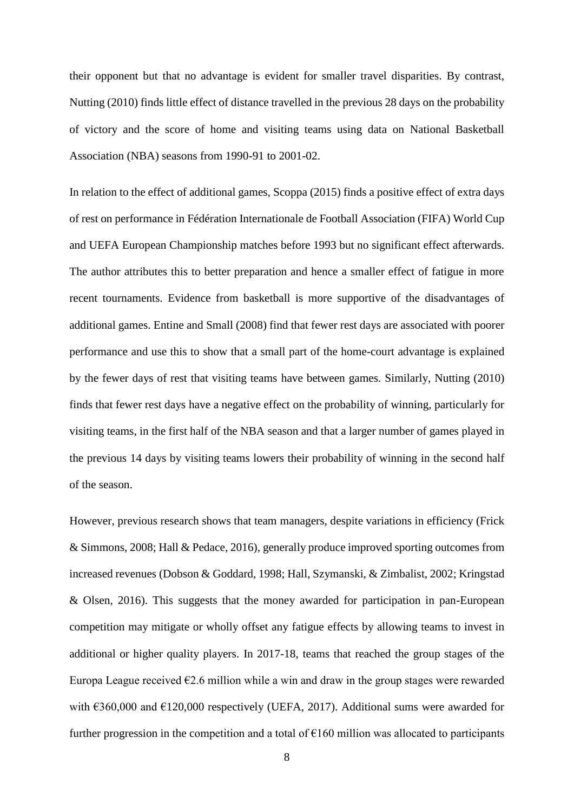their opponent but that no advantage is evident for smaller travel disparities. By contrast, Nutting (2010) finds little effect of distance travelled in the previous 28 days on the probability of victory and the score of home and visiting teams using data on National Basketball Association (NBA) seasons from 1990-91 to 2001-02.

In relation to the effect of additional games, Scoppa (2015) finds a positive effect of extra days of rest on performance in Fédération Internationale de Football Association (FIFA) World Cup and UEFA European Championship matches before 1993 but no significant effect afterwards. The author attributes this to better preparation and hence a smaller effect of fatigue in more recent tournaments. Evidence from basketball is more supportive of the disadvantages of additional games. Entine and Small (2008) find that fewer rest days are associated with poorer performance and use this to show that a small part of the home-court advantage is explained by the fewer days of rest that visiting teams have between games. Similarly, Nutting (2010) finds that fewer rest days have a negative effect on the probability of winning, particularly for visiting teams, in the first half of the NBA season and that a larger number of games played in the previous 14 days by visiting teams lowers their probability of winning in the second half of the season.

However, previous research shows that team managers, despite variations in efficiency (Frick & Simmons, 2008; Hall & Pedace, 2016), generally produce improved sporting outcomes from increased revenues (Dobson & Goddard, 1998; Hall, Szymanski, & Zimbalist, 2002; Kringstad & Olsen, 2016). This suggests that the money awarded for participation in pan-European competition may mitigate or wholly offset any fatigue effects by allowing teams to invest in additional or higher quality players. In 2017-18, teams that reached the group stages of the Europa League received  $\epsilon$ 2.6 million while a win and draw in the group stages were rewarded with  $\epsilon$ 360,000 and  $\epsilon$ 120,000 respectively (UEFA, 2017). Additional sums were awarded for further progression in the competition and a total of  $E160$  million was allocated to participants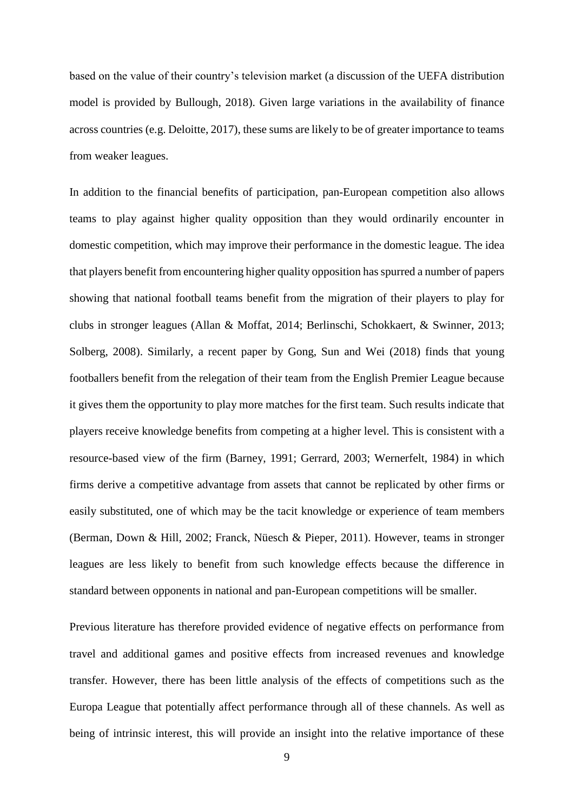based on the value of their country's television market (a discussion of the UEFA distribution model is provided by Bullough, 2018). Given large variations in the availability of finance across countries (e.g. Deloitte, 2017), these sums are likely to be of greater importance to teams from weaker leagues.

In addition to the financial benefits of participation, pan-European competition also allows teams to play against higher quality opposition than they would ordinarily encounter in domestic competition, which may improve their performance in the domestic league. The idea that players benefit from encountering higher quality opposition has spurred a number of papers showing that national football teams benefit from the migration of their players to play for clubs in stronger leagues (Allan & Moffat, 2014; Berlinschi, Schokkaert, & Swinner, 2013; Solberg, 2008). Similarly, a recent paper by Gong, Sun and Wei (2018) finds that young footballers benefit from the relegation of their team from the English Premier League because it gives them the opportunity to play more matches for the first team. Such results indicate that players receive knowledge benefits from competing at a higher level. This is consistent with a resource-based view of the firm (Barney, 1991; Gerrard, 2003; Wernerfelt, 1984) in which firms derive a competitive advantage from assets that cannot be replicated by other firms or easily substituted, one of which may be the tacit knowledge or experience of team members (Berman, Down & Hill, 2002; Franck, Nüesch & Pieper, 2011). However, teams in stronger leagues are less likely to benefit from such knowledge effects because the difference in standard between opponents in national and pan-European competitions will be smaller.

Previous literature has therefore provided evidence of negative effects on performance from travel and additional games and positive effects from increased revenues and knowledge transfer. However, there has been little analysis of the effects of competitions such as the Europa League that potentially affect performance through all of these channels. As well as being of intrinsic interest, this will provide an insight into the relative importance of these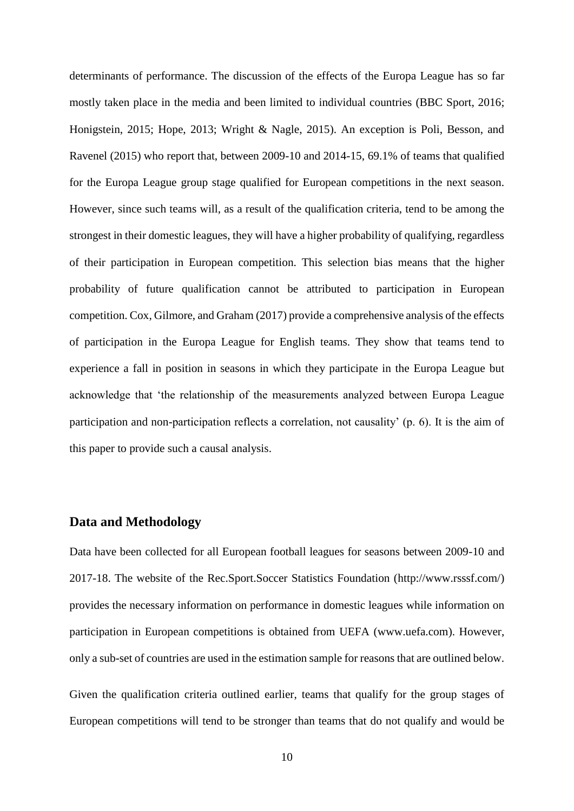determinants of performance. The discussion of the effects of the Europa League has so far mostly taken place in the media and been limited to individual countries (BBC Sport, 2016; Honigstein, 2015; Hope, 2013; Wright & Nagle, 2015). An exception is Poli, Besson, and Ravenel (2015) who report that, between 2009-10 and 2014-15, 69.1% of teams that qualified for the Europa League group stage qualified for European competitions in the next season. However, since such teams will, as a result of the qualification criteria, tend to be among the strongest in their domestic leagues, they will have a higher probability of qualifying, regardless of their participation in European competition. This selection bias means that the higher probability of future qualification cannot be attributed to participation in European competition. Cox, Gilmore, and Graham (2017) provide a comprehensive analysis of the effects of participation in the Europa League for English teams. They show that teams tend to experience a fall in position in seasons in which they participate in the Europa League but acknowledge that 'the relationship of the measurements analyzed between Europa League participation and non-participation reflects a correlation, not causality' (p. 6). It is the aim of this paper to provide such a causal analysis.

#### **Data and Methodology**

Data have been collected for all European football leagues for seasons between 2009-10 and 2017-18. The website of the Rec.Sport.Soccer Statistics Foundation [\(http://www.rsssf.com/\)](http://www.rsssf.com/) provides the necessary information on performance in domestic leagues while information on participation in European competitions is obtained from UEFA [\(www.uefa.com\)](http://www.uefa.com/). However, only a sub-set of countries are used in the estimation sample for reasons that are outlined below.

Given the qualification criteria outlined earlier, teams that qualify for the group stages of European competitions will tend to be stronger than teams that do not qualify and would be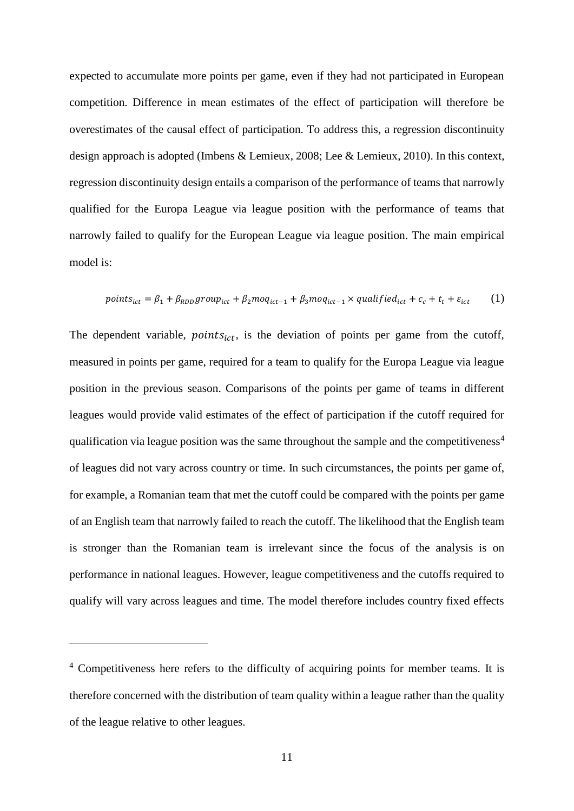expected to accumulate more points per game, even if they had not participated in European competition. Difference in mean estimates of the effect of participation will therefore be overestimates of the causal effect of participation. To address this, a regression discontinuity design approach is adopted (Imbens & Lemieux, 2008; Lee & Lemieux, 2010). In this context, regression discontinuity design entails a comparison of the performance of teams that narrowly qualified for the Europa League via league position with the performance of teams that narrowly failed to qualify for the European League via league position. The main empirical model is:

$$
points_{ict} = \beta_1 + \beta_{RDD} group_{ict} + \beta_2 moq_{ict-1} + \beta_3 moq_{ict-1} \times qualified_{ict} + c_c + t_t + \varepsilon_{ict}
$$
 (1)

The dependent variable,  $points_{ict}$ , is the deviation of points per game from the cutoff, measured in points per game, required for a team to qualify for the Europa League via league position in the previous season. Comparisons of the points per game of teams in different leagues would provide valid estimates of the effect of participation if the cutoff required for qualification via league position was the same throughout the sample and the competitiveness<sup>4</sup> of leagues did not vary across country or time. In such circumstances, the points per game of, for example, a Romanian team that met the cutoff could be compared with the points per game of an English team that narrowly failed to reach the cutoff. The likelihood that the English team is stronger than the Romanian team is irrelevant since the focus of the analysis is on performance in national leagues. However, league competitiveness and the cutoffs required to qualify will vary across leagues and time. The model therefore includes country fixed effects

<u>.</u>

<sup>&</sup>lt;sup>4</sup> Competitiveness here refers to the difficulty of acquiring points for member teams. It is therefore concerned with the distribution of team quality within a league rather than the quality of the league relative to other leagues.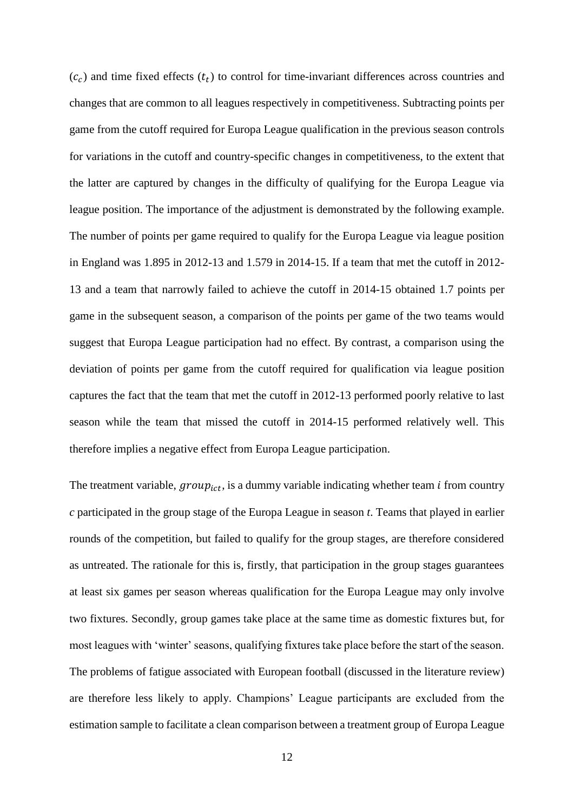$(c<sub>c</sub>)$  and time fixed effects  $(t<sub>t</sub>)$  to control for time-invariant differences across countries and changes that are common to all leagues respectively in competitiveness. Subtracting points per game from the cutoff required for Europa League qualification in the previous season controls for variations in the cutoff and country-specific changes in competitiveness, to the extent that the latter are captured by changes in the difficulty of qualifying for the Europa League via league position. The importance of the adjustment is demonstrated by the following example. The number of points per game required to qualify for the Europa League via league position in England was 1.895 in 2012-13 and 1.579 in 2014-15. If a team that met the cutoff in 2012- 13 and a team that narrowly failed to achieve the cutoff in 2014-15 obtained 1.7 points per game in the subsequent season, a comparison of the points per game of the two teams would suggest that Europa League participation had no effect. By contrast, a comparison using the deviation of points per game from the cutoff required for qualification via league position captures the fact that the team that met the cutoff in 2012-13 performed poorly relative to last season while the team that missed the cutoff in 2014-15 performed relatively well. This therefore implies a negative effect from Europa League participation.

The treatment variable,  $group_{ict}$ , is a dummy variable indicating whether team *i* from country *c* participated in the group stage of the Europa League in season *t*. Teams that played in earlier rounds of the competition, but failed to qualify for the group stages, are therefore considered as untreated. The rationale for this is, firstly, that participation in the group stages guarantees at least six games per season whereas qualification for the Europa League may only involve two fixtures. Secondly, group games take place at the same time as domestic fixtures but, for most leagues with 'winter' seasons, qualifying fixtures take place before the start of the season. The problems of fatigue associated with European football (discussed in the literature review) are therefore less likely to apply. Champions' League participants are excluded from the estimation sample to facilitate a clean comparison between a treatment group of Europa League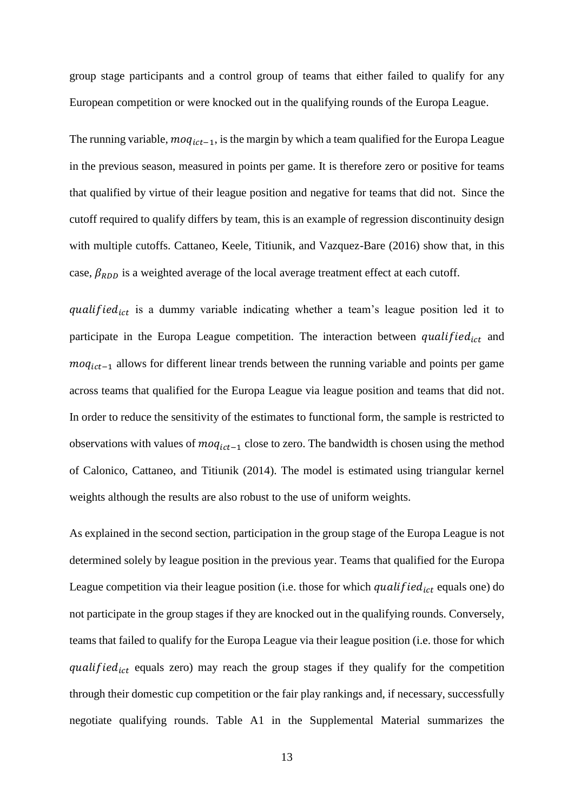group stage participants and a control group of teams that either failed to qualify for any European competition or were knocked out in the qualifying rounds of the Europa League.

The running variable,  $moq_{ict-1}$ , is the margin by which a team qualified for the Europa League in the previous season, measured in points per game. It is therefore zero or positive for teams that qualified by virtue of their league position and negative for teams that did not. Since the cutoff required to qualify differs by team, this is an example of regression discontinuity design with multiple cutoffs. Cattaneo, Keele, Titiunik, and Vazquez-Bare (2016) show that, in this case,  $\beta_{RDD}$  is a weighted average of the local average treatment effect at each cutoff.

qualified $_{ict}$  is a dummy variable indicating whether a team's league position led it to participate in the Europa League competition. The interaction between qualified<sub>ict</sub> and  $m \cdot q_{ict-1}$  allows for different linear trends between the running variable and points per game across teams that qualified for the Europa League via league position and teams that did not. In order to reduce the sensitivity of the estimates to functional form, the sample is restricted to observations with values of  $moq_{ict-1}$  close to zero. The bandwidth is chosen using the method of Calonico, Cattaneo, and Titiunik (2014). The model is estimated using triangular kernel weights although the results are also robust to the use of uniform weights.

As explained in the second section, participation in the group stage of the Europa League is not determined solely by league position in the previous year. Teams that qualified for the Europa League competition via their league position (i.e. those for which qualified  $_{ict}$  equals one) do not participate in the group stages if they are knocked out in the qualifying rounds. Conversely, teams that failed to qualify for the Europa League via their league position (i.e. those for which qualified<sub>ict</sub> equals zero) may reach the group stages if they qualify for the competition through their domestic cup competition or the fair play rankings and, if necessary, successfully negotiate qualifying rounds. Table A1 in the Supplemental Material summarizes the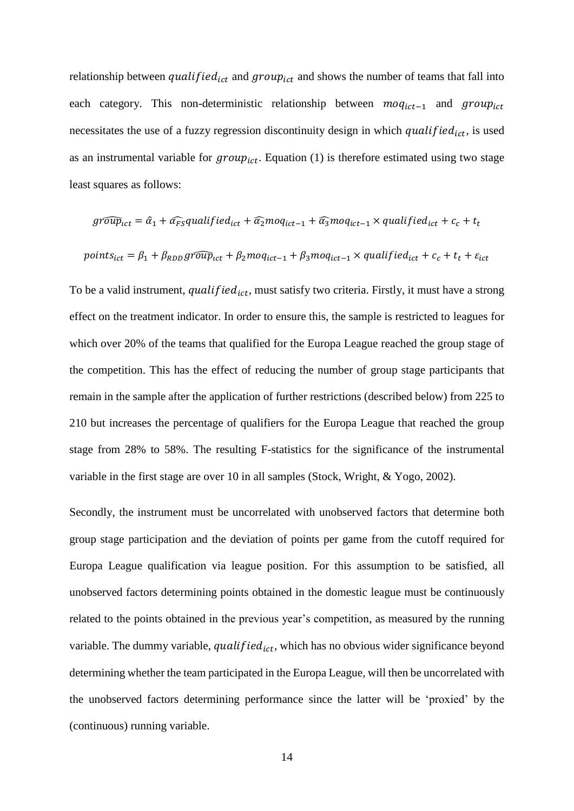relationship between qualified<sub>ict</sub> and group<sub>ict</sub> and shows the number of teams that fall into each category. This non-deterministic relationship between  $m o q_{ict-1}$  and  $group_{ict}$ necessitates the use of a fuzzy regression discontinuity design in which qualified<sub>ict</sub>, is used as an instrumental variable for  $group_{ict}$ . Equation (1) is therefore estimated using two stage least squares as follows:

$$
\widehat{group}_{ict} = \hat{a}_1 + \widehat{\alpha_{FS}}\widehat{quad}_{ict} + \widehat{\alpha_2} \widehat{mod}_{ict-1} + \widehat{\alpha_3} \widehat{mod}_{ict-1} \times \widehat{quad}_{ict} + c_c + t_t
$$

$$
points_{ict} = \beta_1 + \beta_{RDD} \widehat{group}_{ict} + \beta_2 \widehat{map}_{ict-1} + \beta_3 \widehat{map}_{ict-1} \times \widehat{quad}_{ict} + c_c + t_t + \varepsilon_{ict}
$$

To be a valid instrument, qualified<sub>ict</sub>, must satisfy two criteria. Firstly, it must have a strong effect on the treatment indicator. In order to ensure this, the sample is restricted to leagues for which over 20% of the teams that qualified for the Europa League reached the group stage of the competition. This has the effect of reducing the number of group stage participants that remain in the sample after the application of further restrictions (described below) from 225 to 210 but increases the percentage of qualifiers for the Europa League that reached the group stage from 28% to 58%. The resulting F-statistics for the significance of the instrumental variable in the first stage are over 10 in all samples (Stock, Wright, & Yogo, 2002).

Secondly, the instrument must be uncorrelated with unobserved factors that determine both group stage participation and the deviation of points per game from the cutoff required for Europa League qualification via league position. For this assumption to be satisfied, all unobserved factors determining points obtained in the domestic league must be continuously related to the points obtained in the previous year's competition, as measured by the running variable. The dummy variable, qualified<sub>ict</sub>, which has no obvious wider significance beyond determining whether the team participated in the Europa League, will then be uncorrelated with the unobserved factors determining performance since the latter will be 'proxied' by the (continuous) running variable.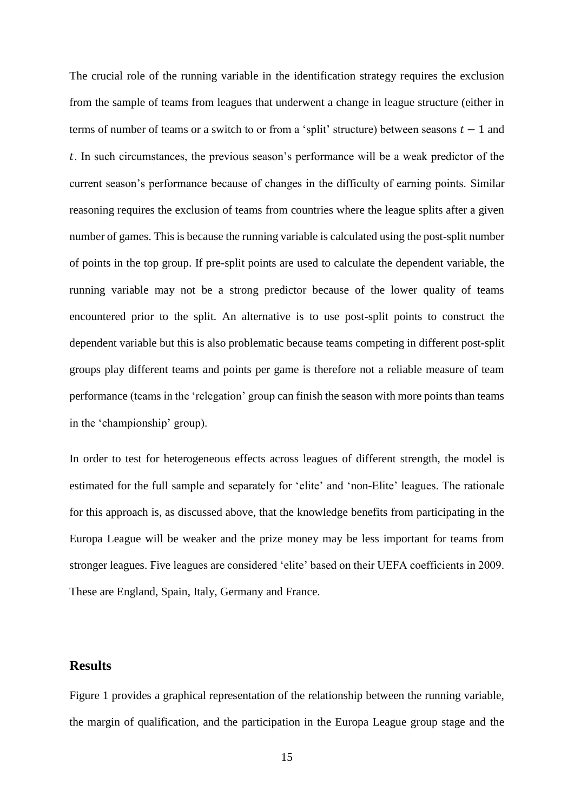The crucial role of the running variable in the identification strategy requires the exclusion from the sample of teams from leagues that underwent a change in league structure (either in terms of number of teams or a switch to or from a 'split' structure) between seasons  $t - 1$  and . In such circumstances, the previous season's performance will be a weak predictor of the current season's performance because of changes in the difficulty of earning points. Similar reasoning requires the exclusion of teams from countries where the league splits after a given number of games. This is because the running variable is calculated using the post-split number of points in the top group. If pre-split points are used to calculate the dependent variable, the running variable may not be a strong predictor because of the lower quality of teams encountered prior to the split. An alternative is to use post-split points to construct the dependent variable but this is also problematic because teams competing in different post-split groups play different teams and points per game is therefore not a reliable measure of team performance (teams in the 'relegation' group can finish the season with more points than teams in the 'championship' group).

In order to test for heterogeneous effects across leagues of different strength, the model is estimated for the full sample and separately for 'elite' and 'non-Elite' leagues. The rationale for this approach is, as discussed above, that the knowledge benefits from participating in the Europa League will be weaker and the prize money may be less important for teams from stronger leagues. Five leagues are considered 'elite' based on their UEFA coefficients in 2009. These are England, Spain, Italy, Germany and France.

## **Results**

Figure 1 provides a graphical representation of the relationship between the running variable, the margin of qualification, and the participation in the Europa League group stage and the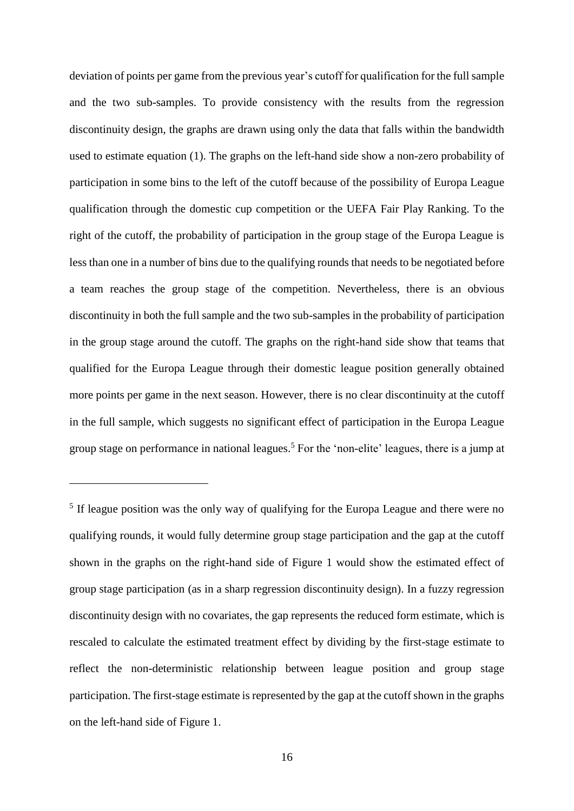deviation of points per game from the previous year's cutoff for qualification for the full sample and the two sub-samples. To provide consistency with the results from the regression discontinuity design, the graphs are drawn using only the data that falls within the bandwidth used to estimate equation (1). The graphs on the left-hand side show a non-zero probability of participation in some bins to the left of the cutoff because of the possibility of Europa League qualification through the domestic cup competition or the UEFA Fair Play Ranking. To the right of the cutoff, the probability of participation in the group stage of the Europa League is less than one in a number of bins due to the qualifying rounds that needs to be negotiated before a team reaches the group stage of the competition. Nevertheless, there is an obvious discontinuity in both the full sample and the two sub-samples in the probability of participation in the group stage around the cutoff. The graphs on the right-hand side show that teams that qualified for the Europa League through their domestic league position generally obtained more points per game in the next season. However, there is no clear discontinuity at the cutoff in the full sample, which suggests no significant effect of participation in the Europa League group stage on performance in national leagues. <sup>5</sup> For the 'non-elite' leagues, there is a jump at

<u>.</u>

<sup>&</sup>lt;sup>5</sup> If league position was the only way of qualifying for the Europa League and there were no qualifying rounds, it would fully determine group stage participation and the gap at the cutoff shown in the graphs on the right-hand side of Figure 1 would show the estimated effect of group stage participation (as in a sharp regression discontinuity design). In a fuzzy regression discontinuity design with no covariates, the gap represents the reduced form estimate, which is rescaled to calculate the estimated treatment effect by dividing by the first-stage estimate to reflect the non-deterministic relationship between league position and group stage participation. The first-stage estimate is represented by the gap at the cutoff shown in the graphs on the left-hand side of Figure 1.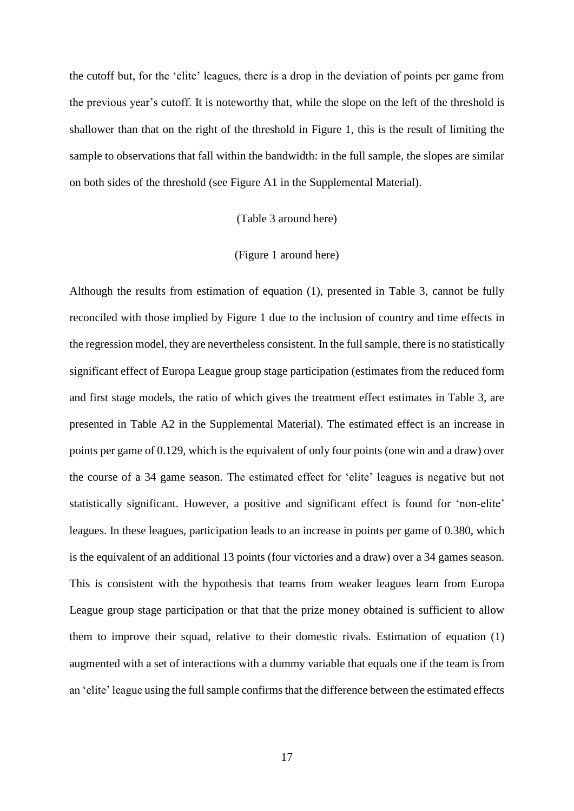the cutoff but, for the 'elite' leagues, there is a drop in the deviation of points per game from the previous year's cutoff. It is noteworthy that, while the slope on the left of the threshold is shallower than that on the right of the threshold in Figure 1, this is the result of limiting the sample to observations that fall within the bandwidth: in the full sample, the slopes are similar on both sides of the threshold (see Figure A1 in the Supplemental Material).

#### (Table 3 around here)

#### (Figure 1 around here)

Although the results from estimation of equation (1), presented in Table 3, cannot be fully reconciled with those implied by Figure 1 due to the inclusion of country and time effects in the regression model, they are nevertheless consistent. In the full sample, there is no statistically significant effect of Europa League group stage participation (estimates from the reduced form and first stage models, the ratio of which gives the treatment effect estimates in Table 3, are presented in Table A2 in the Supplemental Material). The estimated effect is an increase in points per game of 0.129, which is the equivalent of only four points (one win and a draw) over the course of a 34 game season. The estimated effect for 'elite' leagues is negative but not statistically significant. However, a positive and significant effect is found for 'non-elite' leagues. In these leagues, participation leads to an increase in points per game of 0.380, which is the equivalent of an additional 13 points (four victories and a draw) over a 34 games season. This is consistent with the hypothesis that teams from weaker leagues learn from Europa League group stage participation or that that the prize money obtained is sufficient to allow them to improve their squad, relative to their domestic rivals. Estimation of equation (1) augmented with a set of interactions with a dummy variable that equals one if the team is from an 'elite' league using the full sample confirms that the difference between the estimated effects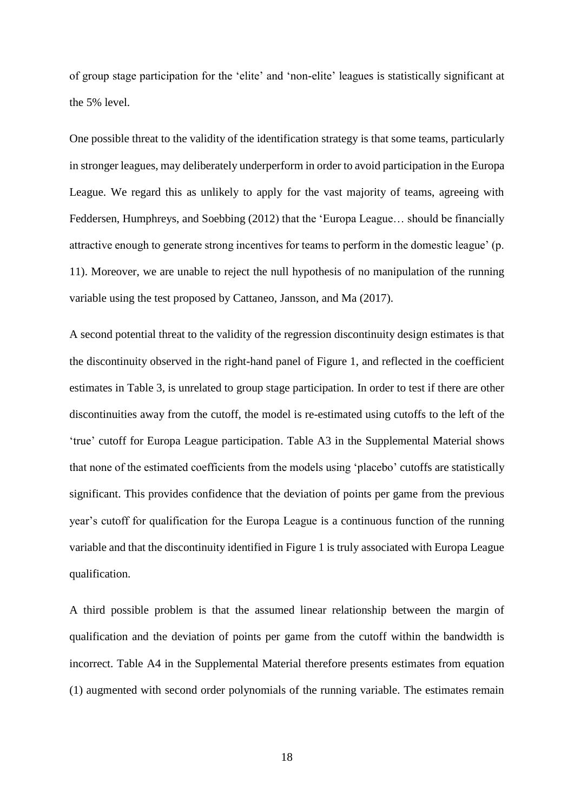of group stage participation for the 'elite' and 'non-elite' leagues is statistically significant at the 5% level.

One possible threat to the validity of the identification strategy is that some teams, particularly in stronger leagues, may deliberately underperform in order to avoid participation in the Europa League. We regard this as unlikely to apply for the vast majority of teams, agreeing with Feddersen, Humphreys, and Soebbing (2012) that the 'Europa League… should be financially attractive enough to generate strong incentives for teams to perform in the domestic league' (p. 11). Moreover, we are unable to reject the null hypothesis of no manipulation of the running variable using the test proposed by Cattaneo, Jansson, and Ma (2017).

A second potential threat to the validity of the regression discontinuity design estimates is that the discontinuity observed in the right-hand panel of Figure 1, and reflected in the coefficient estimates in Table 3, is unrelated to group stage participation. In order to test if there are other discontinuities away from the cutoff, the model is re-estimated using cutoffs to the left of the 'true' cutoff for Europa League participation. Table A3 in the Supplemental Material shows that none of the estimated coefficients from the models using 'placebo' cutoffs are statistically significant. This provides confidence that the deviation of points per game from the previous year's cutoff for qualification for the Europa League is a continuous function of the running variable and that the discontinuity identified in Figure 1 is truly associated with Europa League qualification.

A third possible problem is that the assumed linear relationship between the margin of qualification and the deviation of points per game from the cutoff within the bandwidth is incorrect. Table A4 in the Supplemental Material therefore presents estimates from equation (1) augmented with second order polynomials of the running variable. The estimates remain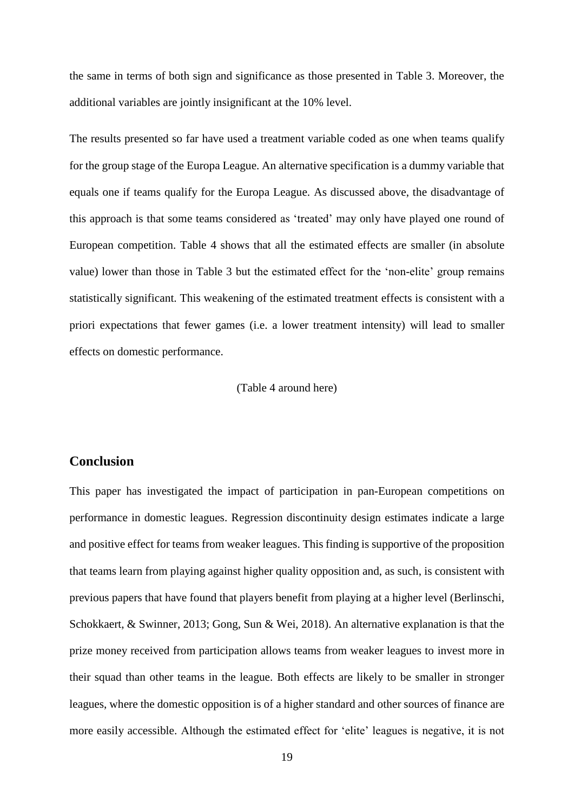the same in terms of both sign and significance as those presented in Table 3. Moreover, the additional variables are jointly insignificant at the 10% level.

The results presented so far have used a treatment variable coded as one when teams qualify for the group stage of the Europa League. An alternative specification is a dummy variable that equals one if teams qualify for the Europa League. As discussed above, the disadvantage of this approach is that some teams considered as 'treated' may only have played one round of European competition. Table 4 shows that all the estimated effects are smaller (in absolute value) lower than those in Table 3 but the estimated effect for the 'non-elite' group remains statistically significant. This weakening of the estimated treatment effects is consistent with a priori expectations that fewer games (i.e. a lower treatment intensity) will lead to smaller effects on domestic performance.

#### (Table 4 around here)

## **Conclusion**

This paper has investigated the impact of participation in pan-European competitions on performance in domestic leagues. Regression discontinuity design estimates indicate a large and positive effect for teams from weaker leagues. This finding is supportive of the proposition that teams learn from playing against higher quality opposition and, as such, is consistent with previous papers that have found that players benefit from playing at a higher level (Berlinschi, Schokkaert, & Swinner, 2013; Gong, Sun & Wei, 2018). An alternative explanation is that the prize money received from participation allows teams from weaker leagues to invest more in their squad than other teams in the league. Both effects are likely to be smaller in stronger leagues, where the domestic opposition is of a higher standard and other sources of finance are more easily accessible. Although the estimated effect for 'elite' leagues is negative, it is not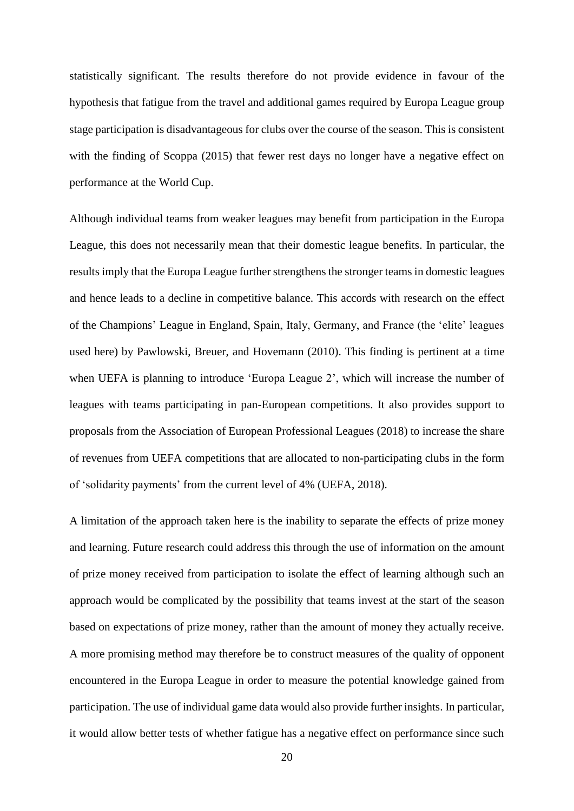statistically significant. The results therefore do not provide evidence in favour of the hypothesis that fatigue from the travel and additional games required by Europa League group stage participation is disadvantageous for clubs over the course of the season. This is consistent with the finding of Scoppa (2015) that fewer rest days no longer have a negative effect on performance at the World Cup.

Although individual teams from weaker leagues may benefit from participation in the Europa League, this does not necessarily mean that their domestic league benefits. In particular, the results imply that the Europa League further strengthens the stronger teams in domestic leagues and hence leads to a decline in competitive balance. This accords with research on the effect of the Champions' League in England, Spain, Italy, Germany, and France (the 'elite' leagues used here) by Pawlowski, Breuer, and Hovemann (2010). This finding is pertinent at a time when UEFA is planning to introduce 'Europa League 2', which will increase the number of leagues with teams participating in pan-European competitions. It also provides support to proposals from the Association of European Professional Leagues (2018) to increase the share of revenues from UEFA competitions that are allocated to non-participating clubs in the form of 'solidarity payments' from the current level of 4% (UEFA, 2018).

A limitation of the approach taken here is the inability to separate the effects of prize money and learning. Future research could address this through the use of information on the amount of prize money received from participation to isolate the effect of learning although such an approach would be complicated by the possibility that teams invest at the start of the season based on expectations of prize money, rather than the amount of money they actually receive. A more promising method may therefore be to construct measures of the quality of opponent encountered in the Europa League in order to measure the potential knowledge gained from participation. The use of individual game data would also provide further insights. In particular, it would allow better tests of whether fatigue has a negative effect on performance since such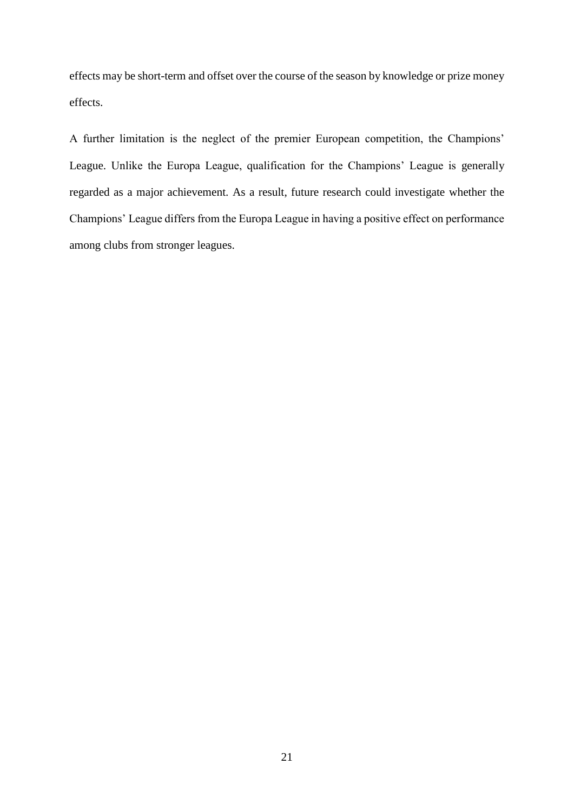effects may be short-term and offset over the course of the season by knowledge or prize money effects.

A further limitation is the neglect of the premier European competition, the Champions' League. Unlike the Europa League, qualification for the Champions' League is generally regarded as a major achievement. As a result, future research could investigate whether the Champions' League differs from the Europa League in having a positive effect on performance among clubs from stronger leagues.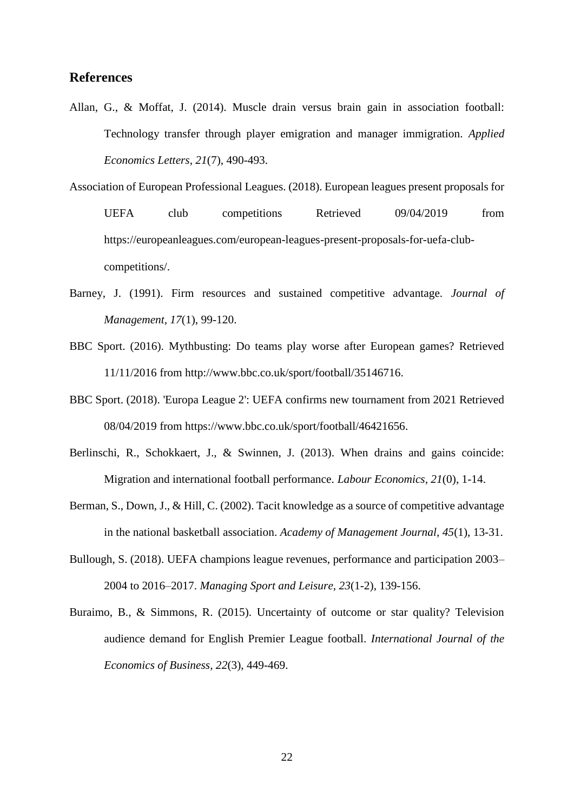## **References**

- Allan, G., & Moffat, J. (2014). Muscle drain versus brain gain in association football: Technology transfer through player emigration and manager immigration. *Applied Economics Letters, 21*(7), 490-493.
- Association of European Professional Leagues. (2018). European leagues present proposals for UEFA club competitions Retrieved 09/04/2019 from [https://europeanleagues.com/european-leagues-present-proposals-for-uefa-club](https://europeanleagues.com/european-leagues-present-proposals-for-uefa-club-competitions/)[competitions/.](https://europeanleagues.com/european-leagues-present-proposals-for-uefa-club-competitions/)
- Barney, J. (1991). Firm resources and sustained competitive advantage. *Journal of Management, 17*(1), 99-120.
- BBC Sport. (2016). Mythbusting: Do teams play worse after European games? Retrieved 11/11/2016 from [http://www.bbc.co.uk/sport/football/35146716.](http://www.bbc.co.uk/sport/football/35146716)
- BBC Sport. (2018). 'Europa League 2': UEFA confirms new tournament from 2021 Retrieved 08/04/2019 from [https://www.bbc.co.uk/sport/football/46421656.](https://www.bbc.co.uk/sport/football/46421656)
- Berlinschi, R., Schokkaert, J., & Swinnen, J. (2013). When drains and gains coincide: Migration and international football performance. *Labour Economics, 21*(0), 1-14.
- Berman, S., Down, J., & Hill, C. (2002). Tacit knowledge as a source of competitive advantage in the national basketball association. *Academy of Management Journal, 45*(1), 13-31.
- Bullough, S. (2018). UEFA champions league revenues, performance and participation 2003– 2004 to 2016–2017. *Managing Sport and Leisure, 23*(1-2), 139-156.
- Buraimo, B., & Simmons, R. (2015). Uncertainty of outcome or star quality? Television audience demand for English Premier League football. *International Journal of the Economics of Business, 22*(3), 449-469.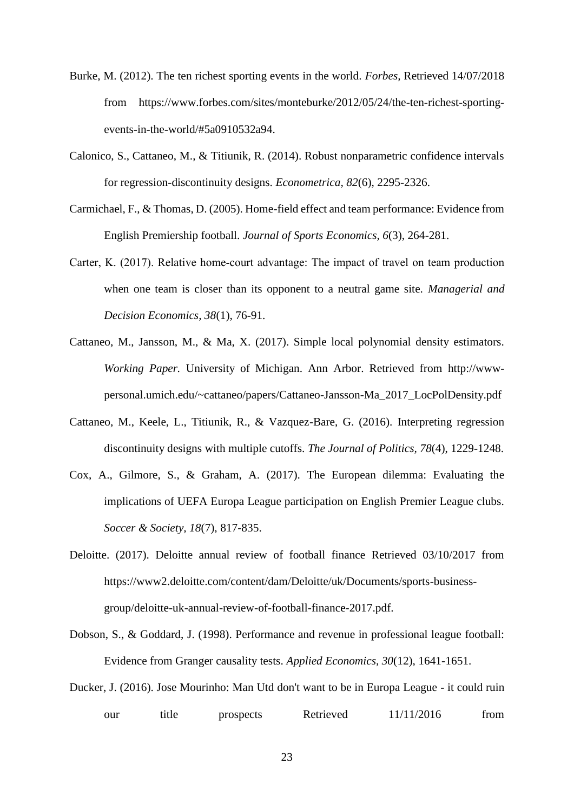- Burke, M. (2012). The ten richest sporting events in the world. *Forbes,* Retrieved 14/07/2018 from [https://www.forbes.com/sites/monteburke/2012/05/24/the-ten-richest-sporting](https://www.forbes.com/sites/monteburke/2012/05/24/the-ten-richest-sporting-events-in-the-world/#5a0910532a94)[events-in-the-world/#5a0910532a94.](https://www.forbes.com/sites/monteburke/2012/05/24/the-ten-richest-sporting-events-in-the-world/#5a0910532a94)
- Calonico, S., Cattaneo, M., & Titiunik, R. (2014). Robust nonparametric confidence intervals for regression-discontinuity designs. *Econometrica, 82*(6), 2295-2326.
- Carmichael, F., & Thomas, D. (2005). Home-field effect and team performance: Evidence from English Premiership football. *Journal of Sports Economics, 6*(3), 264-281.
- Carter, K. (2017). Relative home‐court advantage: The impact of travel on team production when one team is closer than its opponent to a neutral game site. *Managerial and Decision Economics, 38*(1), 76-91.
- Cattaneo, M., Jansson, M., & Ma, X. (2017). Simple local polynomial density estimators. *Working Paper.* University of Michigan. Ann Arbor. Retrieved from [http://www](http://www-personal.umich.edu/~cattaneo/papers/Cattaneo-Jansson-Ma_2017_LocPolDensity.pdf)[personal.umich.edu/~cattaneo/papers/Cattaneo-Jansson-Ma\\_2017\\_LocPolDensity.pdf](http://www-personal.umich.edu/~cattaneo/papers/Cattaneo-Jansson-Ma_2017_LocPolDensity.pdf)
- Cattaneo, M., Keele, L., Titiunik, R., & Vazquez-Bare, G. (2016). Interpreting regression discontinuity designs with multiple cutoffs. *The Journal of Politics, 78*(4), 1229-1248.
- Cox, A., Gilmore, S., & Graham, A. (2017). The European dilemma: Evaluating the implications of UEFA Europa League participation on English Premier League clubs. *Soccer & Society, 18*(7), 817-835.
- Deloitte. (2017). Deloitte annual review of football finance Retrieved 03/10/2017 from [https://www2.deloitte.com/content/dam/Deloitte/uk/Documents/sports-business](https://www2.deloitte.com/content/dam/Deloitte/uk/Documents/sports-business-group/deloitte-uk-annual-review-of-football-finance-2017.pdf)[group/deloitte-uk-annual-review-of-football-finance-2017.pdf.](https://www2.deloitte.com/content/dam/Deloitte/uk/Documents/sports-business-group/deloitte-uk-annual-review-of-football-finance-2017.pdf)
- Dobson, S., & Goddard, J. (1998). Performance and revenue in professional league football: Evidence from Granger causality tests. *Applied Economics, 30*(12), 1641-1651.
- Ducker, J. (2016). Jose Mourinho: Man Utd don't want to be in Europa League it could ruin our title prospects Retrieved  $11/11/2016$  from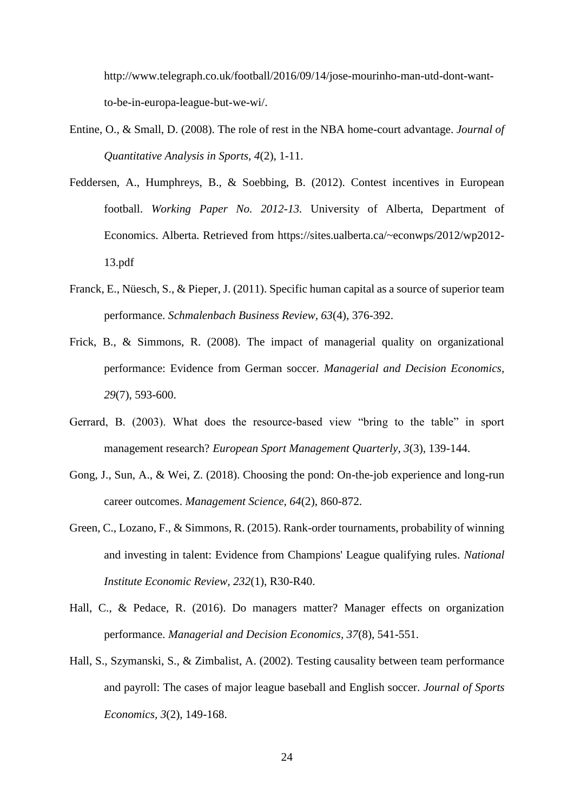[http://www.telegraph.co.uk/football/2016/09/14/jose-mourinho-man-utd-dont-want](http://www.telegraph.co.uk/football/2016/09/14/jose-mourinho-man-utd-dont-want-to-be-in-europa-league-but-we-wi/)[to-be-in-europa-league-but-we-wi/.](http://www.telegraph.co.uk/football/2016/09/14/jose-mourinho-man-utd-dont-want-to-be-in-europa-league-but-we-wi/)

- Entine, O., & Small, D. (2008). The role of rest in the NBA home-court advantage. *Journal of Quantitative Analysis in Sports, 4*(2), 1-11.
- Feddersen, A., Humphreys, B., & Soebbing, B. (2012). Contest incentives in European football. *Working Paper No. 2012-13.* University of Alberta, Department of Economics. Alberta. Retrieved from [https://sites.ualberta.ca/~econwps/2012/wp2012-](https://sites.ualberta.ca/~econwps/2012/wp2012-13.pdf) [13.pdf](https://sites.ualberta.ca/~econwps/2012/wp2012-13.pdf)
- Franck, E., Nüesch, S., & Pieper, J. (2011). Specific human capital as a source of superior team performance. *Schmalenbach Business Review, 63*(4), 376-392.
- Frick, B., & Simmons, R. (2008). The impact of managerial quality on organizational performance: Evidence from German soccer. *Managerial and Decision Economics, 29*(7), 593-600.
- Gerrard, B. (2003). What does the resource‐based view "bring to the table" in sport management research? *European Sport Management Quarterly, 3*(3), 139-144.
- Gong, J., Sun, A., & Wei, Z. (2018). Choosing the pond: On-the-job experience and long-run career outcomes. *Management Science, 64*(2), 860-872.
- Green, C., Lozano, F., & Simmons, R. (2015). Rank-order tournaments, probability of winning and investing in talent: Evidence from Champions' League qualifying rules. *National Institute Economic Review, 232*(1), R30-R40.
- Hall, C., & Pedace, R. (2016). Do managers matter? Manager effects on organization performance. *Managerial and Decision Economics, 37*(8), 541-551.
- Hall, S., Szymanski, S., & Zimbalist, A. (2002). Testing causality between team performance and payroll: The cases of major league baseball and English soccer. *Journal of Sports Economics, 3*(2), 149-168.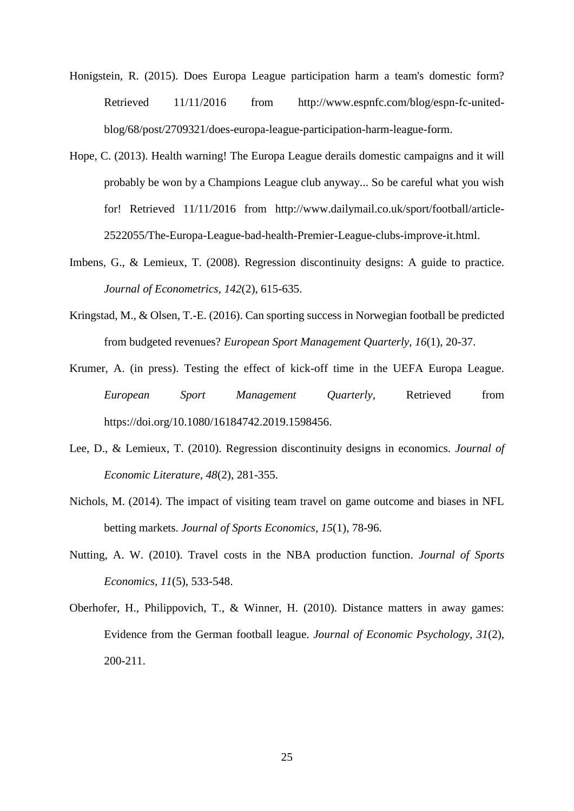- Honigstein, R. (2015). Does Europa League participation harm a team's domestic form? Retrieved  $11/11/2016$  from [http://www.espnfc.com/blog/espn-fc-united](http://www.espnfc.com/blog/espn-fc-united-blog/68/post/2709321/does-europa-league-participation-harm-league-form)[blog/68/post/2709321/does-europa-league-participation-harm-league-form.](http://www.espnfc.com/blog/espn-fc-united-blog/68/post/2709321/does-europa-league-participation-harm-league-form)
- Hope, C. (2013). Health warning! The Europa League derails domestic campaigns and it will probably be won by a Champions League club anyway... So be careful what you wish for! Retrieved 11/11/2016 from [http://www.dailymail.co.uk/sport/football/article-](http://www.dailymail.co.uk/sport/football/article-2522055/The-Europa-League-bad-health-Premier-League-clubs-improve-it.html)[2522055/The-Europa-League-bad-health-Premier-League-clubs-improve-it.html.](http://www.dailymail.co.uk/sport/football/article-2522055/The-Europa-League-bad-health-Premier-League-clubs-improve-it.html)
- Imbens, G., & Lemieux, T. (2008). Regression discontinuity designs: A guide to practice. *Journal of Econometrics, 142*(2), 615-635.
- Kringstad, M., & Olsen, T.-E. (2016). Can sporting success in Norwegian football be predicted from budgeted revenues? *European Sport Management Quarterly, 16*(1), 20-37.
- Krumer, A. (in press). Testing the effect of kick-off time in the UEFA Europa League. *European Sport Management Quarterly,* Retrieved from [https://doi.org/10.1080/16184742.2019.1598456.](https://doi.org/10.1080/16184742.2019.1598456)
- Lee, D., & Lemieux, T. (2010). Regression discontinuity designs in economics. *Journal of Economic Literature, 48*(2), 281-355.
- Nichols, M. (2014). The impact of visiting team travel on game outcome and biases in NFL betting markets. *Journal of Sports Economics, 15*(1), 78-96.
- Nutting, A. W. (2010). Travel costs in the NBA production function. *Journal of Sports Economics, 11*(5), 533-548.
- Oberhofer, H., Philippovich, T., & Winner, H. (2010). Distance matters in away games: Evidence from the German football league. *Journal of Economic Psychology, 31*(2), 200-211.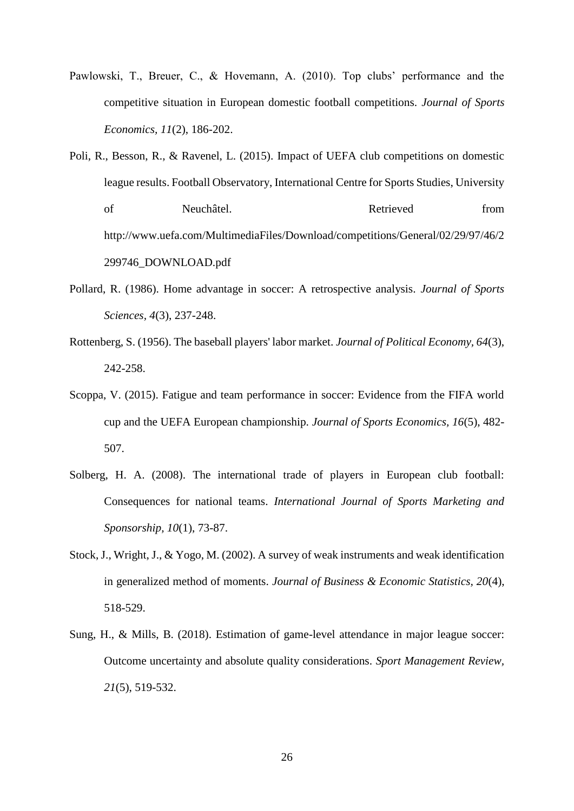- Pawlowski, T., Breuer, C., & Hovemann, A. (2010). Top clubs' performance and the competitive situation in European domestic football competitions. *Journal of Sports Economics, 11*(2), 186-202.
- Poli, R., Besson, R., & Ravenel, L. (2015). Impact of UEFA club competitions on domestic league results. Football Observatory, International Centre for Sports Studies, University of Neuchâtel. Retrieved from [http://www.uefa.com/MultimediaFiles/Download/competitions/General/02/29/97/46/2](http://www.uefa.com/MultimediaFiles/Download/competitions/General/02/29/97/46/2299746_DOWNLOAD.pdf) [299746\\_DOWNLOAD.pdf](http://www.uefa.com/MultimediaFiles/Download/competitions/General/02/29/97/46/2299746_DOWNLOAD.pdf)
- Pollard, R. (1986). Home advantage in soccer: A retrospective analysis. *Journal of Sports Sciences, 4*(3), 237-248.
- Rottenberg, S. (1956). The baseball players' labor market. *Journal of Political Economy, 64*(3), 242-258.
- Scoppa, V. (2015). Fatigue and team performance in soccer: Evidence from the FIFA world cup and the UEFA European championship. *Journal of Sports Economics, 16*(5), 482- 507.
- Solberg, H. A. (2008). The international trade of players in European club football: Consequences for national teams. *International Journal of Sports Marketing and Sponsorship, 10*(1), 73-87.
- Stock, J., Wright, J., & Yogo, M. (2002). A survey of weak instruments and weak identification in generalized method of moments. *Journal of Business & Economic Statistics, 20*(4), 518-529.
- Sung, H., & Mills, B. (2018). Estimation of game-level attendance in major league soccer: Outcome uncertainty and absolute quality considerations. *Sport Management Review, 21*(5), 519-532.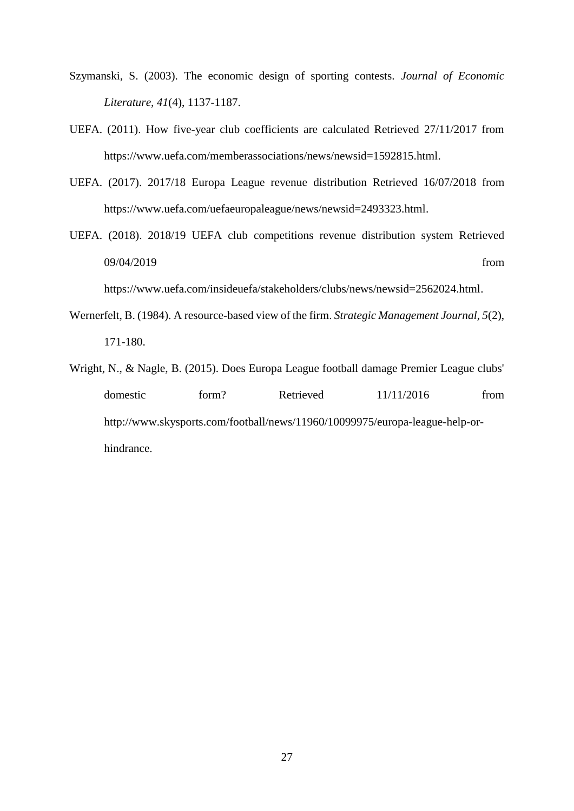- Szymanski, S. (2003). The economic design of sporting contests. *Journal of Economic Literature, 41*(4), 1137-1187.
- UEFA. (2011). How five-year club coefficients are calculated Retrieved 27/11/2017 from [https://www.uefa.com/memberassociations/news/newsid=1592815.html.](https://www.uefa.com/memberassociations/news/newsid=1592815.html)
- UEFA. (2017). 2017/18 Europa League revenue distribution Retrieved 16/07/2018 from [https://www.uefa.com/uefaeuropaleague/news/newsid=2493323.html.](https://www.uefa.com/uefaeuropaleague/news/newsid=2493323.html)
- UEFA. (2018). 2018/19 UEFA club competitions revenue distribution system Retrieved 09/04/2019 from the state of the state of the state of the state of the state of the state of the state of the state of the state of the state of the state of the state of the state of the state of the state of the state o

[https://www.uefa.com/insideuefa/stakeholders/clubs/news/newsid=2562024.html.](https://www.uefa.com/insideuefa/stakeholders/clubs/news/newsid=2562024.html)

- Wernerfelt, B. (1984). A resource-based view of the firm. *Strategic Management Journal, 5*(2), 171-180.
- Wright, N., & Nagle, B. (2015). Does Europa League football damage Premier League clubs' domestic form? Retrieved  $11/11/2016$  from [http://www.skysports.com/football/news/11960/10099975/europa-league-help-or](http://www.skysports.com/football/news/11960/10099975/europa-league-help-or-hindrance)[hindrance.](http://www.skysports.com/football/news/11960/10099975/europa-league-help-or-hindrance)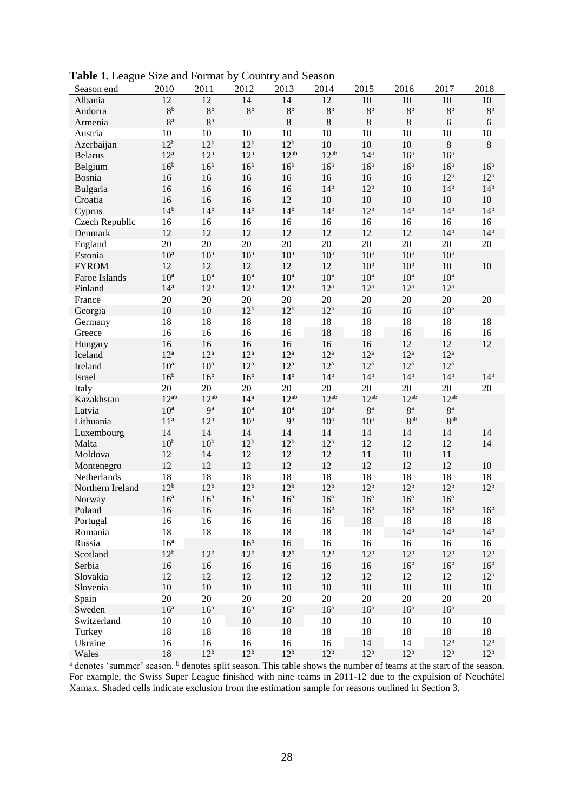| Table 1. League Size and Format by Country and Season |  |  |
|-------------------------------------------------------|--|--|
|-------------------------------------------------------|--|--|

| Season end       | 2010            | 2011            | -----<br>2012   | 2013            | $m_{11}$ $\cdots$ $m_{11}$<br>2014 | 2015            | 2016            | 2017            | 2018            |
|------------------|-----------------|-----------------|-----------------|-----------------|------------------------------------|-----------------|-----------------|-----------------|-----------------|
| Albania          | 12              | 12              | 14              | 14              | 12                                 | 10              | 10              | 10              | 10              |
| Andorra          | $8^{\rm b}$     | $8b$            | 8 <sup>b</sup>  | $8^{\rm b}$     | $8^{\rm b}$                        | 8 <sup>b</sup>  | 8 <sup>b</sup>  | $8^{\rm b}$     | $8^{\rm b}$     |
| Armenia          | $8^{\rm a}$     | 8 <sup>a</sup>  |                 | $\,$ 8 $\,$     | $8\,$                              | $\,8\,$         | $\,8\,$         | $\sqrt{6}$      | $\sqrt{6}$      |
| Austria          | 10              | 10              | 10              | 10              | 10                                 | 10              | 10              | 10              | 10              |
| Azerbaijan       | 12 <sup>b</sup> | 12 <sup>b</sup> | 12 <sup>b</sup> | 12 <sup>b</sup> | 10                                 | 10              | 10              | $8\,$           | $\,8\,$         |
| <b>Belarus</b>   | $12^a$          | $12^a$          | $12^a$          | $12^{ab}$       | $12^{ab}$                          | 14 <sup>a</sup> | 16 <sup>a</sup> | 16 <sup>a</sup> |                 |
| Belgium          | 16 <sup>b</sup> | 16 <sup>b</sup> | 16 <sup>b</sup> | 16 <sup>b</sup> | 16 <sup>b</sup>                    | 16 <sup>b</sup> | 16 <sup>b</sup> | 16 <sup>b</sup> | 16 <sup>b</sup> |
| Bosnia           | 16              | 16              | 16              | 16              | 16                                 | 16              | 16              | 12 <sup>b</sup> | 12 <sup>b</sup> |
| Bulgaria         | 16              | 16              | 16              | 16              | 14 <sup>b</sup>                    | 12 <sup>b</sup> | 10              | 14 <sup>b</sup> | 14 <sup>b</sup> |
| Croatia          | 16              | 16              | 16              | 12              | 10                                 | 10              | $10\,$          | $10\,$          | $10\,$          |
| Cyprus           | $14^{b}$        | 14 <sup>b</sup> | 14 <sup>b</sup> | 14 <sup>b</sup> | 14 <sup>b</sup>                    | 12 <sup>b</sup> | 14 <sup>b</sup> | 14 <sup>b</sup> | 14 <sup>b</sup> |
| Czech Republic   | 16              | 16              | 16              | 16              | 16                                 | 16              | 16              | 16              | 16              |
| Denmark          | 12              | 12              | 12              | 12              | 12                                 | 12              | 12              | 14 <sup>b</sup> | 14 <sup>b</sup> |
| England          | 20              | $20\,$          | 20              | 20              | 20                                 | 20              | 20              | 20              | 20              |
| Estonia          | $10^{\rm a}$    | 10 <sup>a</sup> | 10 <sup>a</sup> | 10 <sup>a</sup> | 10 <sup>a</sup>                    | 10 <sup>a</sup> | $10^{\rm a}$    | 10 <sup>a</sup> |                 |
| <b>FYROM</b>     | 12              | 12              | 12              | 12              | 12                                 | 10 <sup>b</sup> | 10 <sup>b</sup> | 10              | 10              |
| Faroe Islands    | $10^{\rm a}$    | 10 <sup>a</sup> | 10 <sup>a</sup> | 10 <sup>a</sup> | 10 <sup>a</sup>                    | 10 <sup>a</sup> | $10^{\rm a}$    | 10 <sup>a</sup> |                 |
| Finland          | 14 <sup>a</sup> | $12^a$          | $12^a$          | $12^a$          | $12^a$                             | 12 <sup>a</sup> | $12^a$          | $12^{\rm a}$    |                 |
| France           | 20              | $20\,$          | 20              | 20              | 20                                 | 20              | 20              | 20              | 20              |
| Georgia          | 10              | $10\,$          | 12 <sup>b</sup> | 12 <sup>b</sup> | $12^{b}$                           | 16              | 16              | $10^a$          |                 |
| Germany          | 18              | 18              | 18              | 18              | 18                                 | 18              | 18              | 18              | 18              |
| Greece           | 16              | 16              | 16              | 16              | 18                                 | 18              | 16              | 16              | 16              |
| Hungary          | 16              | 16              | 16              | 16              | 16                                 | 16              | 12              | 12              | 12              |
| Iceland          | $12^a$          | $12^a$          | $12^a$          | 12 <sup>a</sup> | 12 <sup>a</sup>                    | $12^a$          | $12^a$          | $12^{\rm a}$    |                 |
| Ireland          | $10^{\rm a}$    | 10 <sup>a</sup> | $12^a$          | 12 <sup>a</sup> | $12^a$                             | 12 <sup>a</sup> | $12^a$          | $12^a$          |                 |
| Israel           | 16 <sup>b</sup> | 16 <sup>b</sup> | 16 <sup>b</sup> | 14 <sup>b</sup> | 14 <sup>b</sup>                    | $14^{b}$        | 14 <sup>b</sup> | 14 <sup>b</sup> | 14 <sup>b</sup> |
| Italy            | 20              | $20\,$          | 20              | 20              | 20                                 | 20              | 20              | 20              | 20              |
| Kazakhstan       | $12^{ab}$       | $12^{ab}$       | 14 <sup>a</sup> | $12^{ab}$       | $12^{ab}$                          | $12^{ab}$       | $12^{ab}$       | $12^{ab}$       |                 |
| Latvia           | $10^{\rm a}$    | $9^a$           | $10^a$          | 10 <sup>a</sup> | $10^a$                             | 8 <sup>a</sup>  | $8^{\rm a}$     | $8^{\rm a}$     |                 |
| Lithuania        | 11 <sup>a</sup> | $12^{\rm a}$    | 10 <sup>a</sup> | 9 <sup>a</sup>  | 10 <sup>a</sup>                    | 10 <sup>a</sup> | 8 <sup>ab</sup> | 8ab             |                 |
| Luxembourg       | 14              | 14              | 14              | 14              | 14                                 | 14              | 14              | 14              | 14              |
| Malta            | 10 <sup>b</sup> | 10 <sup>b</sup> | 12 <sup>b</sup> | 12 <sup>b</sup> | 12 <sup>b</sup>                    | 12              | 12              | 12              | 14              |
| Moldova          | 12              | 14              | 12              | 12              | 12                                 | 11              | 10              | 11              |                 |
| Montenegro       | 12              | 12              | 12              | 12              | 12                                 | 12              | 12              | 12              | 10              |
| Netherlands      | 18              | 18              | 18              | 18              | 18                                 | 18              | 18              | 18              | 18              |
| Northern Ireland | 12 <sup>b</sup> | 12 <sup>b</sup> | 12 <sup>b</sup> | 12 <sup>b</sup> | 12 <sup>b</sup>                    | 12 <sup>b</sup> | 12 <sup>b</sup> | 12 <sup>b</sup> | 12 <sup>b</sup> |
| Norway           | 16 <sup>a</sup> | 16 <sup>a</sup> | 16 <sup>a</sup> | 16 <sup>a</sup> | 16 <sup>a</sup>                    | 16 <sup>a</sup> | 16 <sup>a</sup> | 16 <sup>a</sup> |                 |
| Poland           | 16              | 16              | 16              | 16              | 16 <sup>b</sup>                    | 16 <sup>b</sup> | 16 <sup>b</sup> | 16 <sup>b</sup> | 16 <sup>b</sup> |
| Portugal         | 16              | 16              | 16              | 16              | 16                                 | 18              | 18              | 18              | 18              |
| Romania          | 18              | 18              | 18              | 18              | 18                                 | 18              | 14 <sup>b</sup> | 14 <sup>b</sup> | 14 <sup>b</sup> |
| Russia           | 16 <sup>a</sup> |                 | 16 <sup>b</sup> | 16              | 16                                 | 16              | 16              | 16              | 16              |
| Scotland         | $12^{b}$        | 12 <sup>b</sup> | 12 <sup>b</sup> | 12 <sup>b</sup> | 12 <sup>b</sup>                    | 12 <sup>b</sup> | 12 <sup>b</sup> | $12^{b}$        | 12 <sup>b</sup> |
| Serbia           | 16              | 16              | 16              | 16              | 16                                 | 16              | 16 <sup>b</sup> | 16 <sup>b</sup> | 16 <sup>b</sup> |
| Slovakia         | 12              | 12              | 12              | 12              | 12                                 | 12              | 12              | 12              | 12 <sup>b</sup> |
| Slovenia         | $10\,$          | $10\,$          | $10\,$          | $10\,$          | $10\,$                             | $10\,$          | $10\,$          | $10\,$          | $10\,$          |
| Spain            | 20              | 20              | 20              | 20              | 20                                 | 20              | 20              | 20              | 20              |
| Sweden           | 16 <sup>a</sup> | 16 <sup>a</sup> | 16 <sup>a</sup> | 16 <sup>a</sup> | 16 <sup>a</sup>                    | 16 <sup>a</sup> | 16 <sup>a</sup> | 16 <sup>a</sup> |                 |
| Switzerland      | 10              | $10\,$          | $10\,$          | $10\,$          | 10                                 | 10              | $10\,$          | $10\,$          | 10              |
| Turkey           | 18              | 18              | 18              | 18              | 18                                 | 18              | 18              | 18              | 18              |
| Ukraine          | 16              | 16              | 16              | 16              | 16                                 | 14              | 14              | $12^b$          | 12 <sup>b</sup> |
| Wales            | 18              | 12 <sup>b</sup> | 12 <sup>b</sup> | 12 <sup>b</sup> | 12 <sup>b</sup>                    | 12 <sup>b</sup> | 12 <sup>b</sup> | 12 <sup>b</sup> | 12 <sup>b</sup> |

<sup>a</sup> denotes 'summer' season. <sup>b</sup> denotes split season. This table shows the number of teams at the start of the season. For example, the Swiss Super League finished with nine teams in 2011-12 due to the expulsion of Neuchâtel Xamax. Shaded cells indicate exclusion from the estimation sample for reasons outlined in Section 3.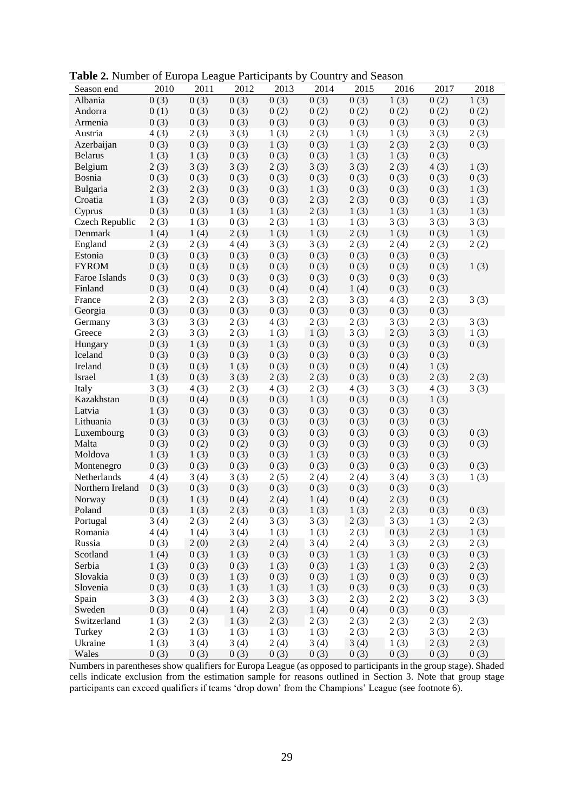| <b>radic 2.</b> Ivanica of Europa Ecague I anteipants by Country and Season |      |      |      |      |      |      |      |      |      |
|-----------------------------------------------------------------------------|------|------|------|------|------|------|------|------|------|
| Season end                                                                  | 2010 | 2011 | 2012 | 2013 | 2014 | 2015 | 2016 | 2017 | 2018 |
| Albania                                                                     | 0(3) | 0(3) | 0(3) | 0(3) | 0(3) | 0(3) | 1(3) | 0(2) | 1(3) |
| Andorra                                                                     | 0(1) | 0(3) | 0(3) | 0(2) | 0(2) | 0(2) | 0(2) | 0(2) | 0(2) |
| Armenia                                                                     | 0(3) | 0(3) | 0(3) | 0(3) | 0(3) | 0(3) | 0(3) | 0(3) | 0(3) |
| Austria                                                                     | 4(3) | 2(3) | 3(3) | 1(3) | 2(3) | 1(3) | 1(3) | 3(3) | 2(3) |
| Azerbaijan                                                                  | 0(3) | 0(3) | 0(3) | 1(3) | 0(3) | 1(3) | 2(3) | 2(3) | 0(3) |
| <b>Belarus</b>                                                              | 1(3) | 1(3) | 0(3) | 0(3) | 0(3) | 1(3) | 1(3) | 0(3) |      |
| Belgium                                                                     | 2(3) | 3(3) | 3(3) | 2(3) | 3(3) | 3(3) | 2(3) | 4(3) | 1(3) |
| Bosnia                                                                      | 0(3) | 0(3) | 0(3) | 0(3) | 0(3) | 0(3) | 0(3) | 0(3) | 0(3) |
| Bulgaria                                                                    | 2(3) | 2(3) | 0(3) | 0(3) | 1(3) | 0(3) | 0(3) | 0(3) | 1(3) |
| Croatia                                                                     | 1(3) | 2(3) | 0(3) | 0(3) | 2(3) | 2(3) | 0(3) | 0(3) | 1(3) |
| Cyprus                                                                      | 0(3) | 0(3) | 1(3) | 1(3) | 2(3) | 1(3) | 1(3) | 1(3) | 1(3) |
| Czech Republic                                                              | 2(3) | 1(3) | 0(3) | 2(3) | 1(3) | 1(3) | 3(3) | 3(3) | 3(3) |
| Denmark                                                                     | 1(4) | 1(4) | 2(3) | 1(3) | 1(3) | 2(3) | 1(3) | 0(3) | 1(3) |
|                                                                             |      |      |      |      |      |      |      |      |      |
| England                                                                     | 2(3) | 2(3) | 4(4) | 3(3) | 3(3) | 2(3) | 2(4) | 2(3) | 2(2) |
| Estonia                                                                     | 0(3) | 0(3) | 0(3) | 0(3) | 0(3) | 0(3) | 0(3) | 0(3) |      |
| <b>FYROM</b>                                                                | 0(3) | 0(3) | 0(3) | 0(3) | 0(3) | 0(3) | 0(3) | 0(3) | 1(3) |
| Faroe Islands                                                               | 0(3) | 0(3) | 0(3) | 0(3) | 0(3) | 0(3) | 0(3) | 0(3) |      |
| Finland                                                                     | 0(3) | 0(4) | 0(3) | 0(4) | 0(4) | 1(4) | 0(3) | 0(3) |      |
| France                                                                      | 2(3) | 2(3) | 2(3) | 3(3) | 2(3) | 3(3) | 4(3) | 2(3) | 3(3) |
| Georgia                                                                     | 0(3) | 0(3) | 0(3) | 0(3) | 0(3) | 0(3) | 0(3) | 0(3) |      |
| Germany                                                                     | 3(3) | 3(3) | 2(3) | 4(3) | 2(3) | 2(3) | 3(3) | 2(3) | 3(3) |
| Greece                                                                      | 2(3) | 3(3) | 2(3) | 1(3) | 1(3) | 3(3) | 2(3) | 3(3) | 1(3) |
| Hungary                                                                     | 0(3) | 1(3) | 0(3) | 1(3) | 0(3) | 0(3) | 0(3) | 0(3) | 0(3) |
| Iceland                                                                     | 0(3) | 0(3) | 0(3) | 0(3) | 0(3) | 0(3) | 0(3) | 0(3) |      |
| Ireland                                                                     | 0(3) | 0(3) | 1(3) | 0(3) | 0(3) | 0(3) | 0(4) | 1(3) |      |
| Israel                                                                      | 1(3) | 0(3) | 3(3) | 2(3) | 2(3) | 0(3) | 0(3) | 2(3) | 2(3) |
| Italy                                                                       | 3(3) | 4(3) | 2(3) | 4(3) | 2(3) | 4(3) | 3(3) | 4(3) | 3(3) |
| Kazakhstan                                                                  | 0(3) | 0(4) | 0(3) | 0(3) | 1(3) | 0(3) | 0(3) | 1(3) |      |
| Latvia                                                                      | 1(3) | 0(3) | 0(3) | 0(3) | 0(3) | 0(3) | 0(3) | 0(3) |      |
| Lithuania                                                                   | 0(3) | 0(3) | 0(3) | 0(3) | 0(3) | 0(3) | 0(3) | 0(3) |      |
| Luxembourg                                                                  | 0(3) | 0(3) | 0(3) | 0(3) | 0(3) | 0(3) | 0(3) | 0(3) | 0(3) |
| Malta                                                                       | 0(3) | 0(2) | 0(2) | 0(3) | 0(3) | 0(3) | 0(3) | 0(3) | 0(3) |
| Moldova                                                                     | 1(3) | 1(3) | 0(3) | 0(3) | 1(3) | 0(3) | 0(3) | 0(3) |      |
| Montenegro                                                                  | 0(3) | 0(3) | 0(3) | 0(3) | 0(3) | 0(3) | 0(3) | 0(3) | 0(3) |
| Netherlands                                                                 | 4(4) | 3(4) | 3(3) | 2(5) | 2(4) | 2(4) | 3(4) | 3(3) | 1(3) |
| Northern Ireland                                                            | 0(3) | 0(3) | 0(3) | 0(3) | 0(3) | 0(3) | 0(3) | 0(3) |      |
| Norway                                                                      | 0(3) | 1(3) | 0(4) | 2(4) | 1(4) | 0(4) | 2(3) | 0(3) |      |
| Poland                                                                      | 0(3) | 1(3) | 2(3) | 0(3) | 1(3) | 1(3) | 2(3) | 0(3) | 0(3) |
| Portugal                                                                    | 3(4) | 2(3) | 2(4) | 3(3) | 3(3) | 2(3) | 3(3) | 1(3) | 2(3) |
| Romania                                                                     | 4(4) | 1(4) | 3(4) | 1(3) | 1(3) | 2(3) | 0(3) | 2(3) | 1(3) |
|                                                                             |      |      |      |      |      |      |      |      |      |
| Russia                                                                      | 0(3) | 2(0) | 2(3) | 2(4) | 3(4) | 2(4) | 3(3) | 2(3) | 2(3) |
| Scotland                                                                    | 1(4) | 0(3) | 1(3) | 0(3) | 0(3) | 1(3) | 1(3) | 0(3) | 0(3) |
| Serbia                                                                      | 1(3) | 0(3) | 0(3) | 1(3) | 0(3) | 1(3) | 1(3) | 0(3) | 2(3) |
| Slovakia                                                                    | 0(3) | 0(3) | 1(3) | 0(3) | 0(3) | 1(3) | 0(3) | 0(3) | 0(3) |
| Slovenia                                                                    | 0(3) | 0(3) | 1(3) | 1(3) | 1(3) | 0(3) | 0(3) | 0(3) | 0(3) |
| Spain                                                                       | 3(3) | 4(3) | 2(3) | 3(3) | 3(3) | 2(3) | 2(2) | 3(2) | 3(3) |
| Sweden                                                                      | 0(3) | 0(4) | 1(4) | 2(3) | 1(4) | 0(4) | 0(3) | 0(3) |      |
| Switzerland                                                                 | 1(3) | 2(3) | 1(3) | 2(3) | 2(3) | 2(3) | 2(3) | 2(3) | 2(3) |
| Turkey                                                                      | 2(3) | 1(3) | 1(3) | 1(3) | 1(3) | 2(3) | 2(3) | 3(3) | 2(3) |
| Ukraine                                                                     | 1(3) | 3(4) | 3(4) | 2(4) | 3(4) | 3(4) | 1(3) | 2(3) | 2(3) |
| Wales                                                                       | 0(3) | 0(3) | 0(3) | 0(3) | 0(3) | 0(3) | 0(3) | 0(3) | 0(3) |

**Table 2.** Number of Europa League Participants by Country and Season

Numbers in parentheses show qualifiers for Europa League (as opposed to participants in the group stage). Shaded cells indicate exclusion from the estimation sample for reasons outlined in Section 3. Note that group stage participants can exceed qualifiers if teams 'drop down' from the Champions' League (see footnote 6).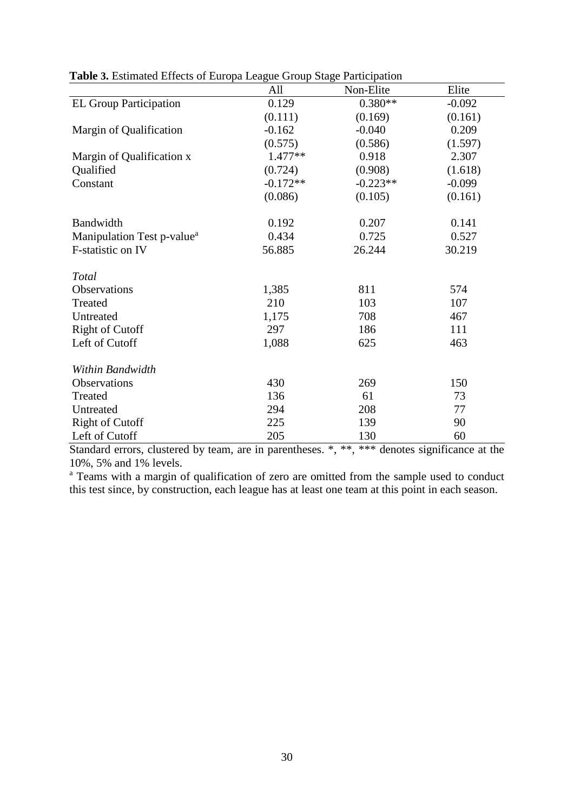|                                        | All        | Non-Elite  | Elite    |
|----------------------------------------|------------|------------|----------|
| <b>EL Group Participation</b>          | 0.129      | $0.380**$  | $-0.092$ |
|                                        | (0.111)    | (0.169)    | (0.161)  |
| Margin of Qualification                | $-0.162$   | $-0.040$   | 0.209    |
|                                        | (0.575)    | (0.586)    | (1.597)  |
| Margin of Qualification x              | $1.477**$  | 0.918      | 2.307    |
| Qualified                              | (0.724)    | (0.908)    | (1.618)  |
| Constant                               | $-0.172**$ | $-0.223**$ | $-0.099$ |
|                                        | (0.086)    | (0.105)    | (0.161)  |
| Bandwidth                              | 0.192      | 0.207      | 0.141    |
| Manipulation Test p-value <sup>a</sup> | 0.434      | 0.725      | 0.527    |
| F-statistic on IV                      | 56.885     | 26.244     | 30.219   |
| Total                                  |            |            |          |
| Observations                           | 1,385      | 811        | 574      |
| Treated                                | 210        | 103        | 107      |
| Untreated                              | 1,175      | 708        | 467      |
| <b>Right of Cutoff</b>                 | 297        | 186        | 111      |
| Left of Cutoff                         | 1,088      | 625        | 463      |
| Within Bandwidth                       |            |            |          |
| Observations                           | 430        | 269        | 150      |
| Treated                                | 136        | 61         | 73       |
| Untreated                              | 294        | 208        | 77       |
| <b>Right of Cutoff</b>                 | 225        | 139        | 90       |
| Left of Cutoff                         | 205        | 130        | 60       |

**Table 3.** Estimated Effects of Europa League Group Stage Participation

Standard errors, clustered by team, are in parentheses. \*, \*\*, \*\*\* denotes significance at the 10%, 5% and 1% levels.

<sup>a</sup> Teams with a margin of qualification of zero are omitted from the sample used to conduct this test since, by construction, each league has at least one team at this point in each season.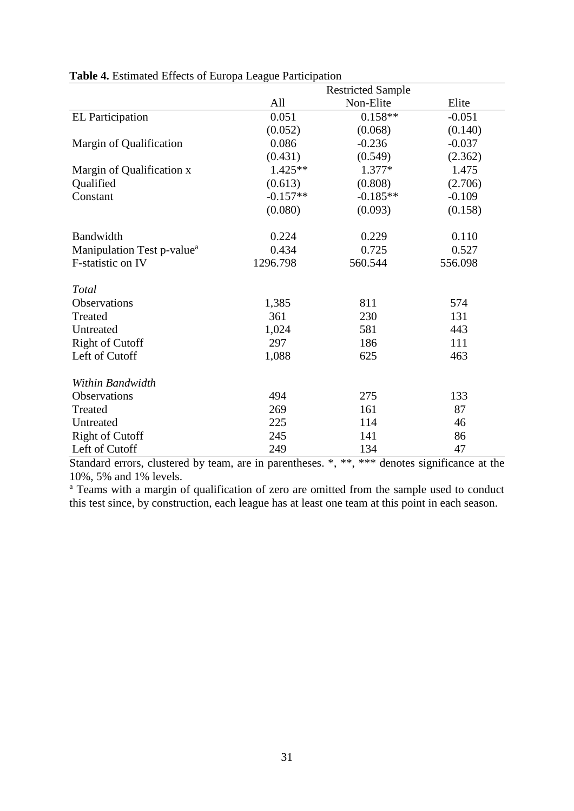|                                        |            | <b>Restricted Sample</b> |          |
|----------------------------------------|------------|--------------------------|----------|
|                                        | All        | Non-Elite                | Elite    |
| <b>EL Participation</b>                | 0.051      | $0.158**$                | $-0.051$ |
|                                        | (0.052)    | (0.068)                  | (0.140)  |
| Margin of Qualification                | 0.086      | $-0.236$                 | $-0.037$ |
|                                        | (0.431)    | (0.549)                  | (2.362)  |
| Margin of Qualification x              | $1.425**$  | 1.377*                   | 1.475    |
| Qualified                              | (0.613)    | (0.808)                  | (2.706)  |
| Constant                               | $-0.157**$ | $-0.185**$               | $-0.109$ |
|                                        | (0.080)    | (0.093)                  | (0.158)  |
| Bandwidth                              | 0.224      | 0.229                    | 0.110    |
| Manipulation Test p-value <sup>a</sup> | 0.434      | 0.725                    | 0.527    |
| F-statistic on IV                      | 1296.798   | 560.544                  | 556.098  |
| Total                                  |            |                          |          |
| Observations                           | 1,385      | 811                      | 574      |
| Treated                                | 361        | 230                      | 131      |
| Untreated                              | 1,024      | 581                      | 443      |
| <b>Right of Cutoff</b>                 | 297        | 186                      | 111      |
| Left of Cutoff                         | 1,088      | 625                      | 463      |
| Within Bandwidth                       |            |                          |          |
| <b>Observations</b>                    | 494        | 275                      | 133      |
| Treated                                | 269        | 161                      | 87       |
| Untreated                              | 225        | 114                      | 46       |
| <b>Right of Cutoff</b>                 | 245        | 141                      | 86       |
| Left of Cutoff                         | 249        | 134                      | 47       |

#### **Table 4.** Estimated Effects of Europa League Participation

Standard errors, clustered by team, are in parentheses. \*, \*\*, \*\*\* denotes significance at the 10%, 5% and 1% levels.

<sup>a</sup> Teams with a margin of qualification of zero are omitted from the sample used to conduct this test since, by construction, each league has at least one team at this point in each season.